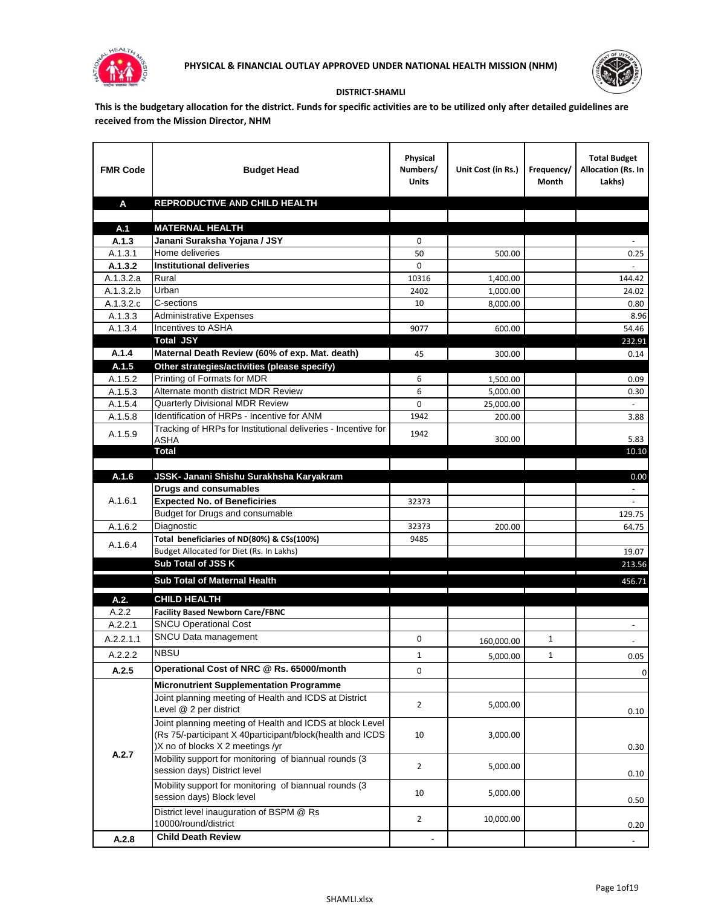



## **DISTRICT-SHAMLI**

**This is the budgetary allocation for the district. Funds for specific activities are to be utilized only after detailed guidelines are received from the Mission Director, NHM**

| <b>FMR Code</b> | <b>Budget Head</b>                                                                   | Physical<br>Numbers/<br><b>Units</b> | Unit Cost (in Rs.) | Frequency/<br>Month | <b>Total Budget</b><br>Allocation (Rs. In<br>Lakhs) |
|-----------------|--------------------------------------------------------------------------------------|--------------------------------------|--------------------|---------------------|-----------------------------------------------------|
| A               | REPRODUCTIVE AND CHILD HEALTH                                                        |                                      |                    |                     |                                                     |
|                 |                                                                                      |                                      |                    |                     |                                                     |
| A.1<br>A.1.3    | <b>MATERNAL HEALTH</b><br>Janani Suraksha Yojana / JSY                               | 0                                    |                    |                     |                                                     |
| A.1.3.1         | Home deliveries                                                                      | 50                                   | 500.00             |                     | 0.25                                                |
| A.1.3.2         | <b>Institutional deliveries</b>                                                      | $\Omega$                             |                    |                     |                                                     |
| A.1.3.2.a       | Rural                                                                                | 10316                                | 1,400.00           |                     | 144.42                                              |
| A.1.3.2.b       | Urban                                                                                | 2402                                 | 1,000.00           |                     | 24.02                                               |
| A.1.3.2.c       | C-sections                                                                           | 10                                   | 8,000.00           |                     | 0.80                                                |
| A.1.3.3         | <b>Administrative Expenses</b>                                                       |                                      |                    |                     | 8.96                                                |
| A.1.3.4         | Incentives to ASHA                                                                   | 9077                                 | 600.00             |                     | 54.46                                               |
|                 | <b>Total JSY</b>                                                                     |                                      |                    |                     | 232.91                                              |
| A.1.4           | Maternal Death Review (60% of exp. Mat. death)                                       | 45                                   | 300.00             |                     | 0.14                                                |
| A.1.5           | Other strategies/activities (please specify)                                         |                                      |                    |                     |                                                     |
| A.1.5.2         | Printing of Formats for MDR                                                          | 6                                    | 1,500.00           |                     | 0.09                                                |
| A.1.5.3         | Alternate month district MDR Review                                                  | 6                                    | 5,000.00           |                     | 0.30                                                |
| A.1.5.4         | <b>Quarterly Divisional MDR Review</b><br>Identification of HRPs - Incentive for ANM | $\Omega$                             | 25,000.00          |                     |                                                     |
| A.1.5.8         | Tracking of HRPs for Institutional deliveries - Incentive for                        | 1942                                 | 200.00             |                     | 3.88                                                |
| A.1.5.9         | ASHA                                                                                 | 1942                                 | 300.00             |                     | 5.83                                                |
|                 | <b>Total</b>                                                                         |                                      |                    |                     | 10.10                                               |
|                 |                                                                                      |                                      |                    |                     |                                                     |
| A.1.6           | JSSK- Janani Shishu Surakhsha Karyakram                                              |                                      |                    |                     | 0.00                                                |
|                 | <b>Drugs and consumables</b>                                                         |                                      |                    |                     |                                                     |
| A.1.6.1         | <b>Expected No. of Beneficiries</b>                                                  | 32373                                |                    |                     |                                                     |
|                 | Budget for Drugs and consumable                                                      |                                      |                    |                     | 129.75                                              |
| A.1.6.2         | Diagnostic                                                                           | 32373                                | 200.00             |                     | 64.75                                               |
| A.1.6.4         | Total beneficiaries of ND(80%) & CSs(100%)                                           | 9485                                 |                    |                     |                                                     |
|                 | Budget Allocated for Diet (Rs. In Lakhs)<br>Sub Total of JSS K                       |                                      |                    |                     | 19.07                                               |
|                 |                                                                                      |                                      |                    |                     | 213.56                                              |
|                 | Sub Total of Maternal Health                                                         |                                      |                    |                     | 456.71                                              |
| A.2.            | <b>CHILD HEALTH</b>                                                                  |                                      |                    |                     |                                                     |
| A.2.2           | <b>Facility Based Newborn Care/FBNC</b>                                              |                                      |                    |                     |                                                     |
| A.2.2.1         | <b>SNCU Operational Cost</b>                                                         |                                      |                    |                     | $\overline{\phantom{a}}$                            |
| A.2.2.1.1       | SNCU Data management                                                                 | 0                                    | 160,000.00         | 1                   |                                                     |
| A.2.2.2         | <b>NBSU</b>                                                                          | $\mathbf 1$                          | 5,000.00           | $\mathbf 1$         | 0.05                                                |
| A.2.5           | Operational Cost of NRC @ Rs. 65000/month                                            | $\mathbf 0$                          |                    |                     | 0                                                   |
|                 | <b>Micronutrient Supplementation Programme</b>                                       |                                      |                    |                     |                                                     |
|                 | Joint planning meeting of Health and ICDS at District                                |                                      |                    |                     |                                                     |
|                 | Level @ 2 per district                                                               | $\overline{2}$                       | 5,000.00           |                     | 0.10                                                |
|                 | Joint planning meeting of Health and ICDS at block Level                             |                                      |                    |                     |                                                     |
|                 | (Rs 75/-participant X 40participant/block(health and ICDS                            | 10                                   | 3,000.00           |                     |                                                     |
|                 | )X no of blocks X 2 meetings /yr                                                     |                                      |                    |                     | 0.30                                                |
| A.2.7           | Mobility support for monitoring of biannual rounds (3                                | $\overline{2}$                       | 5,000.00           |                     |                                                     |
|                 | session days) District level                                                         |                                      |                    |                     | 0.10                                                |
|                 | Mobility support for monitoring of biannual rounds (3                                | 10                                   | 5,000.00           |                     |                                                     |
|                 | session days) Block level                                                            |                                      |                    |                     | 0.50                                                |
|                 | District level inauguration of BSPM @ Rs                                             | $\overline{2}$                       | 10,000.00          |                     |                                                     |
|                 | 10000/round/district                                                                 |                                      |                    |                     | 0.20                                                |
| A.2.8           | <b>Child Death Review</b>                                                            |                                      |                    |                     | $\overline{\phantom{a}}$                            |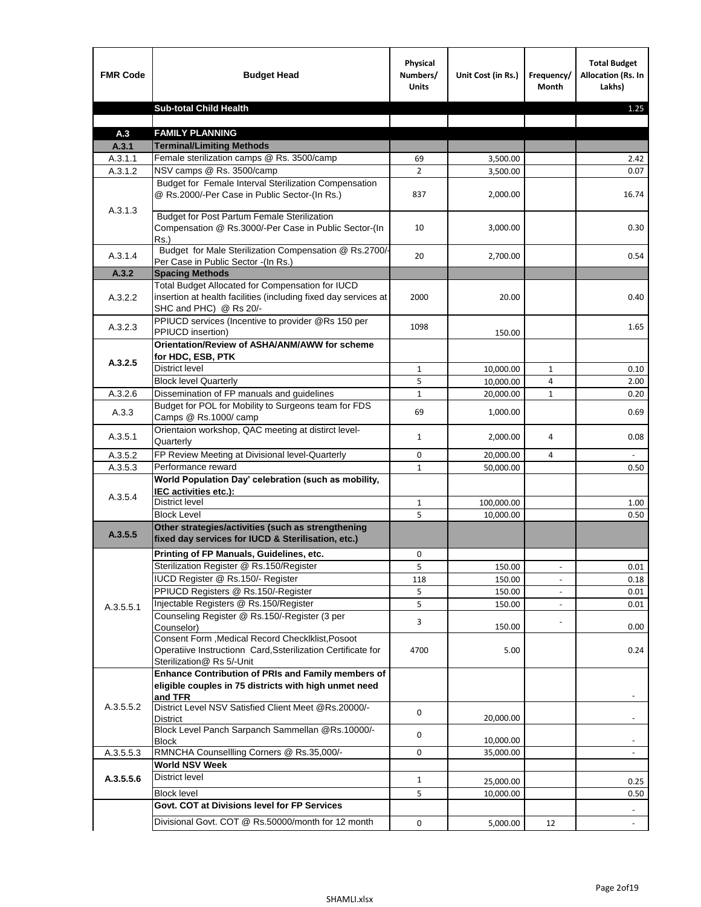| <b>FMR Code</b>    | <b>Budget Head</b>                                                                                                                             | Physical<br>Numbers/<br><b>Units</b> | Unit Cost (in Rs.) | Frequency/<br>Month      | <b>Total Budget</b><br><b>Allocation (Rs. In</b><br>Lakhs) |
|--------------------|------------------------------------------------------------------------------------------------------------------------------------------------|--------------------------------------|--------------------|--------------------------|------------------------------------------------------------|
|                    | <b>Sub-total Child Health</b>                                                                                                                  |                                      |                    |                          | 1.25                                                       |
|                    |                                                                                                                                                |                                      |                    |                          |                                                            |
| A.3                | <b>FAMILY PLANNING</b>                                                                                                                         |                                      |                    |                          |                                                            |
| A.3.1              | <b>Terminal/Limiting Methods</b>                                                                                                               |                                      |                    |                          |                                                            |
| A.3.1.1<br>A.3.1.2 | Female sterilization camps @ Rs. 3500/camp<br>NSV camps @ Rs. 3500/camp                                                                        | 69<br>$\overline{2}$                 | 3,500.00           |                          | 2.42<br>0.07                                               |
|                    | Budget for Female Interval Sterilization Compensation                                                                                          |                                      | 3,500.00           |                          |                                                            |
| A.3.1.3            | @ Rs.2000/-Per Case in Public Sector-(In Rs.)                                                                                                  | 837                                  | 2,000.00           |                          | 16.74                                                      |
|                    | <b>Budget for Post Partum Female Sterilization</b><br>Compensation @ Rs.3000/-Per Case in Public Sector-(In<br>$Rs.$ )                         | 10                                   | 3,000.00           |                          | 0.30                                                       |
| A.3.1.4            | Budget for Male Sterilization Compensation @ Rs.2700/-<br>Per Case in Public Sector -(In Rs.)                                                  | 20                                   | 2,700.00           |                          | 0.54                                                       |
| A.3.2              | <b>Spacing Methods</b>                                                                                                                         |                                      |                    |                          |                                                            |
| A.3.2.2            | Total Budget Allocated for Compensation for IUCD<br>insertion at health facilities (including fixed day services at<br>SHC and PHC) @ Rs 20/-  | 2000                                 | 20.00              |                          | 0.40                                                       |
| A.3.2.3            | PPIUCD services (Incentive to provider @Rs 150 per<br>PPIUCD insertion)                                                                        | 1098                                 | 150.00             |                          | 1.65                                                       |
|                    | Orientation/Review of ASHA/ANM/AWW for scheme<br>for HDC, ESB, PTK                                                                             |                                      |                    |                          |                                                            |
| A.3.2.5            | <b>District level</b>                                                                                                                          | $\mathbf{1}$                         | 10,000.00          | $\mathbf{1}$             | 0.10                                                       |
|                    | <b>Block level Quarterly</b>                                                                                                                   | 5                                    | 10,000.00          | 4                        | 2.00                                                       |
| A.3.2.6            | Dissemination of FP manuals and guidelines                                                                                                     | $\mathbf{1}$                         | 20,000.00          | $\mathbf{1}$             | 0.20                                                       |
| A.3.3              | Budget for POL for Mobility to Surgeons team for FDS<br>Camps @ Rs.1000/camp                                                                   | 69                                   | 1,000.00           |                          | 0.69                                                       |
| A.3.5.1            | Orientaion workshop, QAC meeting at distirct level-<br>Quarterly                                                                               | $\mathbf{1}$                         | 2,000.00           | 4                        | 0.08                                                       |
| A.3.5.2            | FP Review Meeting at Divisional level-Quarterly                                                                                                | 0                                    | 20,000.00          | 4                        |                                                            |
| A.3.5.3            | Performance reward                                                                                                                             | $\mathbf{1}$                         | 50,000.00          |                          | 0.50                                                       |
| A.3.5.4            | World Population Day' celebration (such as mobility,<br>IEC activities etc.):                                                                  |                                      |                    |                          |                                                            |
|                    | District level                                                                                                                                 | $\mathbf{1}$                         | 100,000.00         |                          | 1.00                                                       |
|                    | <b>Block Level</b>                                                                                                                             | 5                                    | 10.000.00          |                          | 0.50                                                       |
| A.3.5.5            | Other strategies/activities (such as strengthening<br>fixed day services for IUCD & Sterilisation, etc.)                                       |                                      |                    |                          |                                                            |
|                    | Printing of FP Manuals, Guidelines, etc.                                                                                                       | 0                                    |                    |                          |                                                            |
|                    | Sterilization Register @ Rs.150/Register                                                                                                       | 5                                    | 150.00             | $\overline{\phantom{a}}$ | 0.01                                                       |
|                    | IUCD Register @ Rs.150/- Register                                                                                                              | 118                                  | 150.00             |                          | 0.18                                                       |
|                    | PPIUCD Registers @ Rs.150/-Register                                                                                                            | 5                                    | 150.00             |                          | 0.01                                                       |
| A.3.5.5.1          | Injectable Registers @ Rs.150/Register                                                                                                         | 5                                    | 150.00             |                          | 0.01                                                       |
|                    | Counseling Register @ Rs.150/-Register (3 per<br>Counselor)                                                                                    | 3                                    | 150.00             |                          | 0.00                                                       |
|                    | Consent Form , Medical Record CheckIklist, Posoot<br>Operatiive Instructionn Card, Ssterilization Certificate for<br>Sterilization@ Rs 5/-Unit | 4700                                 | 5.00               |                          | 0.24                                                       |
|                    | Enhance Contribution of PRIs and Family members of<br>eligible couples in 75 districts with high unmet need<br>and TFR                         |                                      |                    |                          |                                                            |
| A.3.5.5.2          | District Level NSV Satisfied Client Meet @Rs.20000/-<br>District                                                                               | 0                                    | 20,000.00          |                          |                                                            |
|                    | Block Level Panch Sarpanch Sammellan @Rs.10000/-<br>Block                                                                                      | 0                                    | 10,000.00          |                          |                                                            |
| A.3.5.5.3          | RMNCHA Counsellling Corners @ Rs.35,000/-                                                                                                      | 0                                    | 35,000.00          |                          |                                                            |
|                    | <b>World NSV Week</b>                                                                                                                          |                                      |                    |                          |                                                            |
| A.3.5.5.6          | <b>District level</b>                                                                                                                          | $\mathbf{1}$                         | 25,000.00          |                          | 0.25                                                       |
|                    | <b>Block level</b>                                                                                                                             | 5                                    | 10,000.00          |                          | 0.50                                                       |
|                    | Govt. COT at Divisions level for FP Services                                                                                                   |                                      |                    |                          |                                                            |
|                    | Divisional Govt. COT @ Rs.50000/month for 12 month                                                                                             | 0                                    | 5,000.00           | 12                       | $\blacksquare$                                             |
|                    |                                                                                                                                                |                                      |                    |                          |                                                            |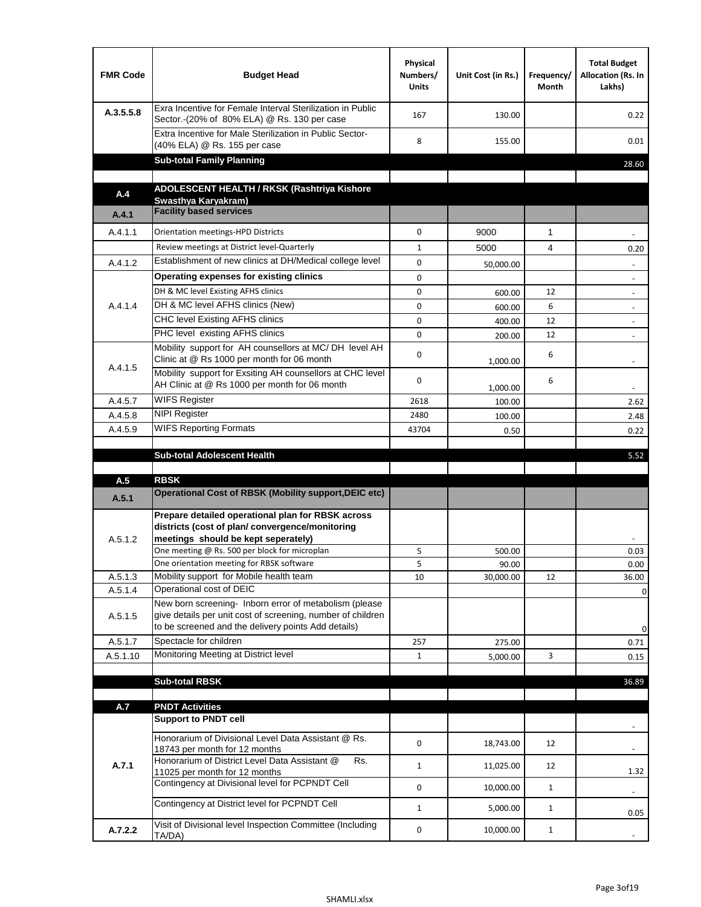| <b>FMR Code</b> | <b>Budget Head</b>                                                                                                                                                                          | Physical<br>Numbers/<br><b>Units</b> | Unit Cost (in Rs.) | Frequency/<br><b>Month</b> | <b>Total Budget</b><br>Allocation (Rs. In<br>Lakhs) |
|-----------------|---------------------------------------------------------------------------------------------------------------------------------------------------------------------------------------------|--------------------------------------|--------------------|----------------------------|-----------------------------------------------------|
| A.3.5.5.8       | Exra Incentive for Female Interval Sterilization in Public<br>Sector.-(20% of 80% ELA) @ Rs. 130 per case                                                                                   | 167                                  | 130.00             |                            | 0.22                                                |
|                 | Extra Incentive for Male Sterilization in Public Sector-<br>(40% ELA) @ Rs. 155 per case                                                                                                    | 8                                    | 155.00             |                            | 0.01                                                |
|                 | <b>Sub-total Family Planning</b>                                                                                                                                                            |                                      |                    |                            | 28.60                                               |
|                 | ADOLESCENT HEALTH / RKSK (Rashtriya Kishore                                                                                                                                                 |                                      |                    |                            |                                                     |
| A.4             | Swasthya Karyakram)                                                                                                                                                                         |                                      |                    |                            |                                                     |
| A.4.1           | <b>Facility based services</b>                                                                                                                                                              |                                      |                    |                            |                                                     |
| A.4.1.1         | Orientation meetings-HPD Districts                                                                                                                                                          | $\Omega$                             | 9000               | $\mathbf{1}$               |                                                     |
|                 | Review meetings at District level-Quarterly                                                                                                                                                 | $\mathbf{1}$                         | 5000               | 4                          | 0.20                                                |
| A.4.1.2         | Establishment of new clinics at DH/Medical college level                                                                                                                                    | 0                                    | 50,000.00          |                            |                                                     |
|                 | Operating expenses for existing clinics                                                                                                                                                     | 0                                    |                    |                            |                                                     |
|                 | DH & MC level Existing AFHS clinics                                                                                                                                                         | 0                                    | 600.00             | 12                         |                                                     |
| A.4.1.4         | DH & MC level AFHS clinics (New)                                                                                                                                                            | 0                                    | 600.00             | 6                          | $\overline{\phantom{a}}$                            |
|                 | CHC level Existing AFHS clinics                                                                                                                                                             | 0                                    | 400.00             | 12                         | $\overline{\phantom{a}}$                            |
|                 | PHC level existing AFHS clinics                                                                                                                                                             | $\Omega$                             | 200.00             | 12                         | $\overline{\phantom{a}}$                            |
| A.4.1.5         | Mobility support for AH counsellors at MC/DH level AH<br>Clinic at @ Rs 1000 per month for 06 month                                                                                         | 0                                    | 1,000.00           | 6                          |                                                     |
|                 | Mobility support for Exsiting AH counsellors at CHC level<br>AH Clinic at @ Rs 1000 per month for 06 month                                                                                  | 0                                    | 1,000.00           | 6                          | $\overline{\phantom{a}}$                            |
| A.4.5.7         | <b>WIFS Register</b>                                                                                                                                                                        | 2618                                 | 100.00             |                            | 2.62                                                |
| A.4.5.8         | <b>NIPI Register</b>                                                                                                                                                                        | 2480                                 | 100.00             |                            | 2.48                                                |
| A.4.5.9         | <b>WIFS Reporting Formats</b>                                                                                                                                                               | 43704                                | 0.50               |                            | 0.22                                                |
|                 | <b>Sub-total Adolescent Health</b>                                                                                                                                                          |                                      |                    |                            | 5.52                                                |
| A.5             | <b>RBSK</b>                                                                                                                                                                                 |                                      |                    |                            |                                                     |
| A.5.1           | <b>Operational Cost of RBSK (Mobility support, DEIC etc)</b>                                                                                                                                |                                      |                    |                            |                                                     |
| A.5.1.2         | Prepare detailed operational plan for RBSK across<br>districts (cost of plan/convergence/monitoring<br>meetings should be kept seperately)<br>One meeting @ Rs. 500 per block for microplan | 5                                    | 500.00             |                            | 0.03                                                |
|                 | One orientation meeting for RBSK software                                                                                                                                                   | 5                                    | 90.00              |                            | 0.00                                                |
| A.5.1.3         | Mobility support for Mobile health team                                                                                                                                                     | 10                                   | 30,000.00          | 12                         | 36.00                                               |
| A.5.1.4         | Operational cost of DEIC                                                                                                                                                                    |                                      |                    |                            | $\mathbf 0$                                         |
| A.5.1.5         | New born screening- Inborn error of metabolism (please<br>give details per unit cost of screening, number of children<br>to be screened and the delivery points Add details)                |                                      |                    |                            | 0                                                   |
| A.5.1.7         | Spectacle for children                                                                                                                                                                      | 257                                  | 275.00             |                            | 0.71                                                |
| A.5.1.10        | Monitoring Meeting at District level                                                                                                                                                        | $\mathbf{1}$                         | 5,000.00           | 3                          | 0.15                                                |
|                 |                                                                                                                                                                                             |                                      |                    |                            |                                                     |
|                 | <b>Sub-total RBSK</b>                                                                                                                                                                       |                                      |                    |                            | 36.89                                               |
| A.7             | <b>PNDT Activities</b>                                                                                                                                                                      |                                      |                    |                            |                                                     |
|                 | <b>Support to PNDT cell</b>                                                                                                                                                                 |                                      |                    |                            |                                                     |
|                 | Honorarium of Divisional Level Data Assistant @ Rs.<br>18743 per month for 12 months                                                                                                        | 0                                    | 18,743.00          | 12                         |                                                     |
| A.7.1           | Honorarium of District Level Data Assistant @<br>Rs.                                                                                                                                        | $\mathbf{1}$                         | 11,025.00          | 12                         |                                                     |
|                 | 11025 per month for 12 months<br>Contingency at Divisional level for PCPNDT Cell                                                                                                            | 0                                    | 10,000.00          | $\mathbf{1}$               | 1.32<br>$\overline{\phantom{a}}$                    |
|                 | Contingency at District level for PCPNDT Cell                                                                                                                                               | $\mathbf{1}$                         | 5,000.00           | $\mathbf{1}$               | 0.05                                                |
| A.7.2.2         | Visit of Divisional level Inspection Committee (Including<br>TA/DA)                                                                                                                         | 0                                    | 10,000.00          | $\mathbf{1}$               |                                                     |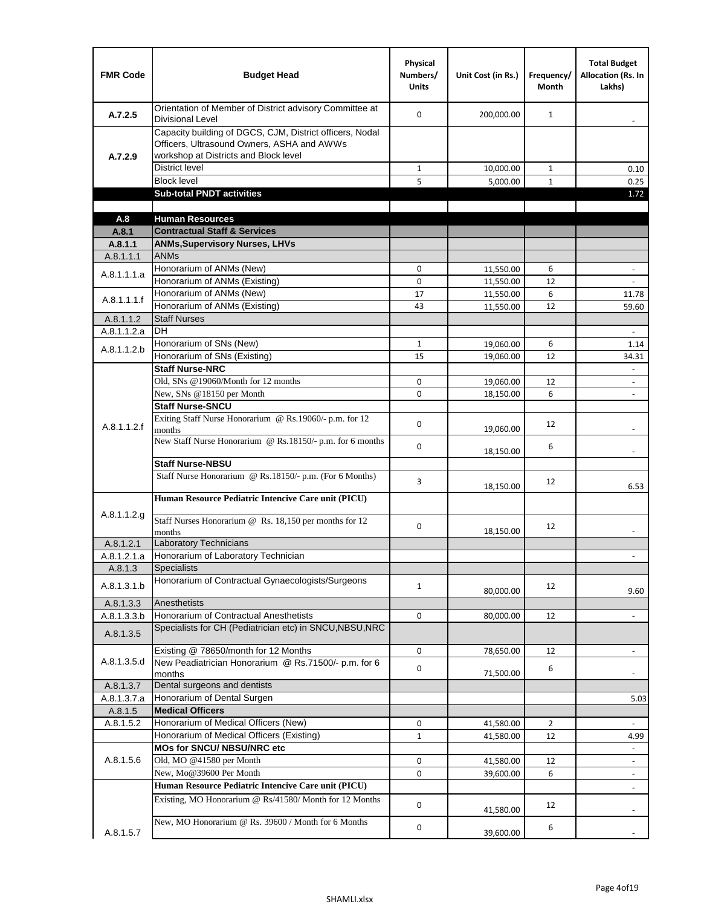| <b>FMR Code</b> | <b>Budget Head</b>                                                                                                                              | Physical<br>Numbers/<br><b>Units</b> | Unit Cost (in Rs.) | Frequency/<br>Month | <b>Total Budget</b><br>Allocation (Rs. In<br>Lakhs) |
|-----------------|-------------------------------------------------------------------------------------------------------------------------------------------------|--------------------------------------|--------------------|---------------------|-----------------------------------------------------|
| A.7.2.5         | Orientation of Member of District advisory Committee at<br><b>Divisional Level</b>                                                              | $\Omega$                             | 200,000.00         | $\mathbf{1}$        | $\overline{\phantom{a}}$                            |
| A.7.2.9         | Capacity building of DGCS, CJM, District officers, Nodal<br>Officers, Ultrasound Owners, ASHA and AWWs<br>workshop at Districts and Block level |                                      |                    |                     |                                                     |
|                 | <b>District level</b>                                                                                                                           | $\mathbf{1}$                         | 10,000.00          | $\mathbf{1}$        | 0.10                                                |
|                 | <b>Block level</b>                                                                                                                              | 5                                    | 5,000.00           | $\mathbf{1}$        | 0.25                                                |
|                 | <b>Sub-total PNDT activities</b>                                                                                                                |                                      |                    |                     | 1.72                                                |
|                 |                                                                                                                                                 |                                      |                    |                     |                                                     |
| A.8             | <b>Human Resources</b>                                                                                                                          |                                      |                    |                     |                                                     |
| A.8.1           | <b>Contractual Staff &amp; Services</b>                                                                                                         |                                      |                    |                     |                                                     |
| A.8.1.1         | <b>ANMs, Supervisory Nurses, LHVs</b>                                                                                                           |                                      |                    |                     |                                                     |
| A.8.1.1.1       | <b>ANMs</b>                                                                                                                                     |                                      |                    |                     |                                                     |
| A.8.1.1.1.a     | Honorarium of ANMs (New)                                                                                                                        | 0                                    | 11,550.00          | 6                   | $\overline{\phantom{a}}$                            |
|                 | Honorarium of ANMs (Existing)                                                                                                                   | 0                                    | 11,550.00          | 12                  |                                                     |
| A.8.1.1.1.f     | Honorarium of ANMs (New)                                                                                                                        | 17                                   | 11,550.00          | 6                   | 11.78                                               |
|                 | Honorarium of ANMs (Existing)                                                                                                                   | 43                                   | 11,550.00          | 12                  | 59.60                                               |
| A.8.1.1.2       | <b>Staff Nurses</b>                                                                                                                             |                                      |                    |                     |                                                     |
| A.8.1.1.2.a     | <b>DH</b>                                                                                                                                       |                                      |                    |                     | $\blacksquare$                                      |
| A.8.1.1.2.b     | Honorarium of SNs (New)                                                                                                                         | $\mathbf{1}$                         | 19,060.00          | 6                   | 1.14                                                |
|                 | Honorarium of SNs (Existing)                                                                                                                    | 15                                   | 19,060.00          | 12                  | 34.31                                               |
|                 | <b>Staff Nurse-NRC</b>                                                                                                                          |                                      |                    |                     | ä,                                                  |
|                 | Old, SNs @19060/Month for 12 months                                                                                                             | 0                                    | 19,060.00          | 12                  | $\overline{\phantom{a}}$                            |
|                 | New, SNs @18150 per Month                                                                                                                       | 0                                    | 18,150.00          | 6                   | $\overline{\phantom{a}}$                            |
|                 | <b>Staff Nurse-SNCU</b>                                                                                                                         |                                      |                    |                     |                                                     |
| A.8.1.1.2.f     | Exiting Staff Nurse Honorarium @ Rs.19060/- p.m. for 12<br>months                                                                               | 0                                    | 19,060.00          | 12                  |                                                     |
|                 | New Staff Nurse Honorarium @ Rs.18150/- p.m. for 6 months                                                                                       | 0                                    | 18,150.00          | 6                   |                                                     |
|                 | <b>Staff Nurse-NBSU</b>                                                                                                                         |                                      |                    |                     |                                                     |
|                 | Staff Nurse Honorarium @ Rs.18150/- p.m. (For 6 Months)                                                                                         | 3                                    | 18,150.00          | 12                  | 6.53                                                |
|                 | Human Resource Pediatric Intencive Care unit (PICU)                                                                                             |                                      |                    |                     |                                                     |
| A.8.1.1.2.g     | Staff Nurses Honorarium @ $\overline{Rs. 18,150}$ per months for 12                                                                             | 0                                    |                    | 12                  |                                                     |
|                 | months                                                                                                                                          |                                      | 18,150.00          |                     |                                                     |
| A.8.1.2.1       | <b>Laboratory Technicians</b>                                                                                                                   |                                      |                    |                     |                                                     |
| A.8.1.2.1.a     | Honorarium of Laboratory Technician                                                                                                             |                                      |                    |                     |                                                     |
| A.8.1.3         | <b>Specialists</b>                                                                                                                              |                                      |                    |                     |                                                     |
| A.8.1.3.1.b     | Honorarium of Contractual Gynaecologists/Surgeons                                                                                               | $\mathbf{1}$                         | 80,000.00          | 12                  | 9.60                                                |
| A.8.1.3.3       | Anesthetists                                                                                                                                    |                                      |                    |                     |                                                     |
| A.8.1.3.3.b     | Honorarium of Contractual Anesthetists                                                                                                          | 0                                    | 80,000.00          | 12                  | $\overline{\phantom{a}}$                            |
| A.8.1.3.5       | Specialists for CH (Pediatrician etc) in SNCU, NBSU, NRC                                                                                        |                                      |                    |                     |                                                     |
|                 | Existing @ 78650/month for 12 Months                                                                                                            | 0                                    | 78,650.00          | 12                  | $\Box$                                              |
| A.8.1.3.5.d     | New Peadiatrician Honorarium @ Rs.71500/- p.m. for 6<br>months                                                                                  | 0                                    | 71,500.00          | 6                   |                                                     |
| A.8.1.3.7       | Dental surgeons and dentists                                                                                                                    |                                      |                    |                     |                                                     |
| A.8.1.3.7.a     | Honorarium of Dental Surgen                                                                                                                     |                                      |                    |                     | 5.03                                                |
| A.8.1.5         | <b>Medical Officers</b>                                                                                                                         |                                      |                    |                     |                                                     |
| A.8.1.5.2       | Honorarium of Medical Officers (New)                                                                                                            | 0                                    | 41,580.00          | $\overline{2}$      | $\frac{1}{2}$                                       |
|                 | Honorarium of Medical Officers (Existing)                                                                                                       | $\mathbf{1}$                         | 41,580.00          | 12                  | 4.99                                                |
|                 | MOs for SNCU/ NBSU/NRC etc                                                                                                                      |                                      |                    |                     |                                                     |
| A.8.1.5.6       | Old, MO @41580 per Month                                                                                                                        | 0                                    | 41,580.00          | 12                  | $\blacksquare$                                      |
|                 | New, Mo@39600 Per Month                                                                                                                         | 0                                    | 39,600.00          | 6                   | $\overline{\phantom{a}}$                            |
|                 | Human Resource Pediatric Intencive Care unit (PICU)                                                                                             |                                      |                    |                     |                                                     |
|                 | Existing, MO Honorarium @ Rs/41580/ Month for 12 Months                                                                                         | $\mathbf 0$                          | 41,580.00          | 12                  |                                                     |
| A.8.1.5.7       | New, MO Honorarium @ Rs. 39600 / Month for 6 Months                                                                                             | 0                                    | 39,600.00          | 6                   |                                                     |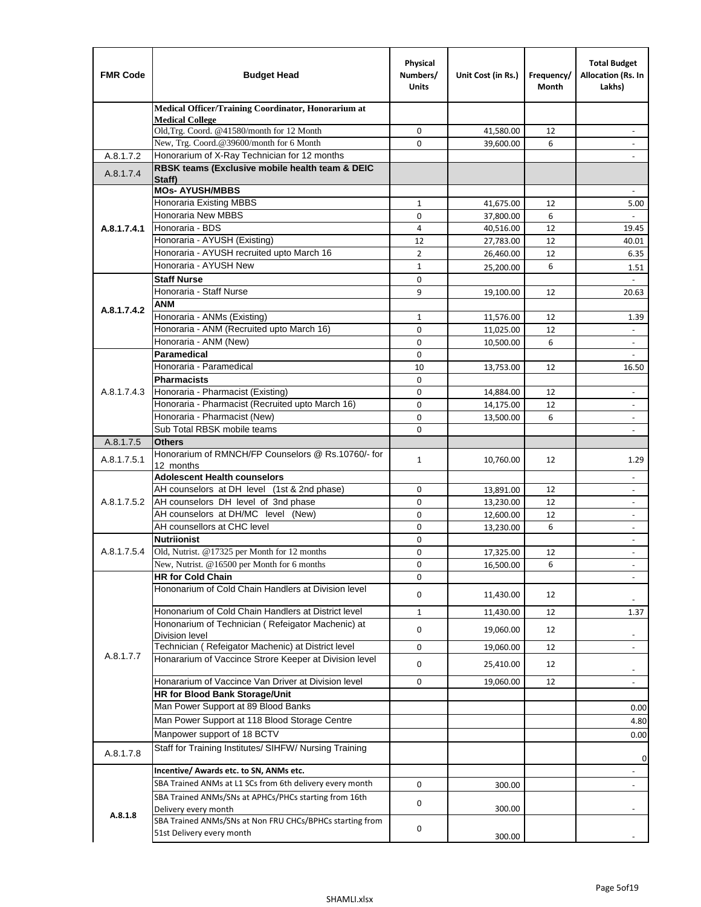| <b>FMR Code</b> | <b>Budget Head</b>                                                                                           | Physical<br>Numbers/<br><b>Units</b> | Unit Cost (in Rs.) | Frequency/<br>Month | <b>Total Budget</b><br>Allocation (Rs. In<br>Lakhs) |
|-----------------|--------------------------------------------------------------------------------------------------------------|--------------------------------------|--------------------|---------------------|-----------------------------------------------------|
|                 | Medical Officer/Training Coordinator, Honorarium at                                                          |                                      |                    |                     |                                                     |
|                 | <b>Medical College</b><br>Old, Trg. Coord. @41580/month for 12 Month                                         | 0                                    | 41,580.00          | 12                  |                                                     |
|                 | New, Trg. Coord.@39600/month for 6 Month                                                                     | $\Omega$                             | 39,600.00          | 6                   |                                                     |
| A.8.1.7.2       | Honorarium of X-Ray Technician for 12 months                                                                 |                                      |                    |                     |                                                     |
| A.8.1.7.4       | RBSK teams (Exclusive mobile health team & DEIC                                                              |                                      |                    |                     |                                                     |
|                 | Staff)<br><b>MOs- AYUSH/MBBS</b>                                                                             |                                      |                    |                     |                                                     |
|                 | Honoraria Existing MBBS                                                                                      | $\mathbf{1}$                         | 41,675.00          | 12                  | 5.00                                                |
|                 | Honoraria New MBBS                                                                                           | 0                                    | 37,800.00          | 6                   | $\blacksquare$                                      |
| A.8.1.7.4.1     | Honoraria - BDS                                                                                              | 4                                    | 40,516.00          | 12                  | 19.45                                               |
|                 | Honoraria - AYUSH (Existing)                                                                                 | 12                                   | 27,783.00          | 12                  | 40.01                                               |
|                 | Honoraria - AYUSH recruited upto March 16                                                                    | $\overline{2}$                       | 26,460.00          | 12                  | 6.35                                                |
|                 | Honoraria - AYUSH New                                                                                        | $\mathbf{1}$                         | 25,200.00          | 6                   | 1.51                                                |
|                 | <b>Staff Nurse</b>                                                                                           | $\mathbf 0$                          |                    |                     | $\mathbf{r}$                                        |
|                 | Honoraria - Staff Nurse                                                                                      | 9                                    | 19,100.00          | 12                  | 20.63                                               |
| A.8.1.7.4.2     | ANM                                                                                                          |                                      |                    |                     |                                                     |
|                 | Honoraria - ANMs (Existing)                                                                                  | $\mathbf{1}$                         | 11,576.00          | 12                  | 1.39                                                |
|                 | Honoraria - ANM (Recruited upto March 16)                                                                    | 0                                    | 11,025.00          | 12                  |                                                     |
|                 | Honoraria - ANM (New)                                                                                        | $\mathbf 0$                          | 10,500.00          | 6                   |                                                     |
|                 | <b>Paramedical</b>                                                                                           | $\mathbf 0$                          |                    |                     | $\blacksquare$                                      |
|                 | Honoraria - Paramedical                                                                                      | 10                                   | 13,753.00          | 12                  | 16.50                                               |
|                 | <b>Pharmacists</b>                                                                                           | $\mathbf 0$                          |                    |                     |                                                     |
| A.8.1.7.4.3     | Honoraria - Pharmacist (Existing)<br>Honoraria - Pharmacist (Recruited upto March 16)                        | 0                                    | 14,884.00          | 12                  | $\overline{\phantom{a}}$                            |
|                 | Honoraria - Pharmacist (New)                                                                                 | $\mathbf 0$<br>$\mathbf 0$           | 14,175.00          | 12<br>6             | $\blacksquare$                                      |
|                 | Sub Total RBSK mobile teams                                                                                  | $\Omega$                             | 13,500.00          |                     | ÷,<br>$\overline{\phantom{a}}$                      |
| A.8.1.7.5       | <b>Others</b>                                                                                                |                                      |                    |                     |                                                     |
|                 | Honorarium of RMNCH/FP Counselors @ Rs.10760/- for                                                           |                                      |                    |                     |                                                     |
| A.8.1.7.5.1     | 12 months                                                                                                    | $\mathbf{1}$                         | 10,760.00          | 12                  | 1.29                                                |
|                 | <b>Adolescent Health counselors</b>                                                                          |                                      |                    |                     | $\overline{\phantom{a}}$                            |
|                 | AH counselors at DH level (1st & 2nd phase)                                                                  | $\mathbf 0$                          | 13,891.00          | 12                  | $\overline{\phantom{a}}$                            |
| A.8.1.7.5.2     | AH counselors DH level of 3nd phase                                                                          | $\mathbf 0$                          | 13,230.00          | 12                  | $\overline{\phantom{a}}$                            |
|                 | AH counselors at DH/MC level (New)                                                                           | 0                                    | 12,600.00          | 12                  | $\blacksquare$                                      |
|                 | AH counsellors at CHC level                                                                                  | $\mathbf 0$                          | 13,230.00          | 6                   | ÷,                                                  |
|                 | <b>Nutriionist</b>                                                                                           | $\mathbf 0$                          |                    |                     | $\overline{\phantom{a}}$                            |
| A.8.1.7.5.4     | Old, Nutrist. @17325 per Month for 12 months                                                                 | $\mathbf 0$                          | 17,325.00          | 12                  | $\overline{\phantom{a}}$                            |
|                 | New, Nutrist. @16500 per Month for 6 months                                                                  | 0                                    | 16,500.00          | 6                   |                                                     |
|                 | <b>HR for Cold Chain</b>                                                                                     | 0                                    |                    |                     |                                                     |
|                 | Hononarium of Cold Chain Handlers at Division level                                                          | 0                                    | 11,430.00          | 12                  |                                                     |
|                 | Hononarium of Cold Chain Handlers at District level                                                          | 1                                    | 11,430.00          | 12                  | 1.37                                                |
|                 | Hononarium of Technician (Refeigator Machenic) at                                                            | 0                                    | 19,060.00          | 12                  |                                                     |
|                 | <b>Division level</b>                                                                                        |                                      |                    |                     |                                                     |
| A.8.1.7.7       | Technician (Refeigator Machenic) at District level<br>Honararium of Vaccince Strore Keeper at Division level | 0                                    | 19,060.00          | 12                  | $\overline{\phantom{a}}$                            |
|                 |                                                                                                              | 0                                    | 25,410.00          | 12                  | $\overline{\phantom{a}}$                            |
|                 | Honararium of Vaccince Van Driver at Division level                                                          | 0                                    | 19,060.00          | 12                  | $\blacksquare$                                      |
|                 | <b>HR for Blood Bank Storage/Unit</b>                                                                        |                                      |                    |                     |                                                     |
|                 | Man Power Support at 89 Blood Banks                                                                          |                                      |                    |                     | 0.00                                                |
|                 | Man Power Support at 118 Blood Storage Centre                                                                |                                      |                    |                     | 4.80                                                |
|                 | Manpower support of 18 BCTV                                                                                  |                                      |                    |                     | 0.00                                                |
| A.8.1.7.8       | Staff for Training Institutes/ SIHFW/ Nursing Training                                                       |                                      |                    |                     | 0                                                   |
|                 | Incentive/ Awards etc. to SN, ANMs etc.                                                                      |                                      |                    |                     |                                                     |
|                 | SBA Trained ANMs at L1 SCs from 6th delivery every month                                                     | 0                                    | 300.00             |                     | $\overline{\phantom{a}}$                            |
|                 | SBA Trained ANMs/SNs at APHCs/PHCs starting from 16th                                                        |                                      |                    |                     |                                                     |
| A.8.1.8         | Delivery every month                                                                                         | 0                                    | 300.00             |                     |                                                     |
|                 | SBA Trained ANMs/SNs at Non FRU CHCs/BPHCs starting from                                                     | 0                                    |                    |                     |                                                     |
|                 | 51st Delivery every month                                                                                    |                                      | 300.00             |                     |                                                     |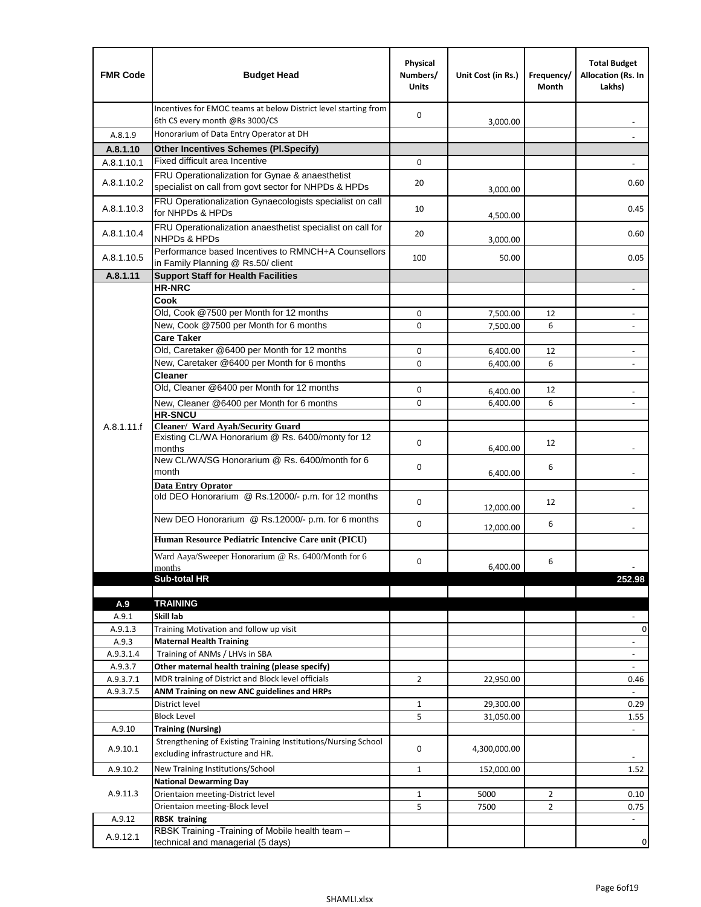| <b>FMR Code</b>      | <b>Budget Head</b>                                                                                               | Physical<br>Numbers/<br><b>Units</b> | Unit Cost (in Rs.) | Frequency/<br>Month | <b>Total Budget</b><br>Allocation (Rs. In<br>Lakhs) |
|----------------------|------------------------------------------------------------------------------------------------------------------|--------------------------------------|--------------------|---------------------|-----------------------------------------------------|
|                      | Incentives for EMOC teams at below District level starting from<br>6th CS every month @Rs 3000/CS                | 0                                    | 3,000.00           |                     |                                                     |
| A.8.1.9              | Honorarium of Data Entry Operator at DH                                                                          |                                      |                    |                     |                                                     |
| A.8.1.10             | <b>Other Incentives Schemes (Pl.Specify)</b>                                                                     |                                      |                    |                     |                                                     |
| A.8.1.10.1           | Fixed difficult area Incentive                                                                                   | 0                                    |                    |                     |                                                     |
|                      | FRU Operationalization for Gynae & anaesthetist                                                                  |                                      |                    |                     |                                                     |
| A.8.1.10.2           | specialist on call from govt sector for NHPDs & HPDs<br>FRU Operationalization Gynaecologists specialist on call | 20                                   | 3,000.00           |                     | 0.60                                                |
| A.8.1.10.3           | for NHPDs & HPDs                                                                                                 | 10                                   | 4,500.00           |                     | 0.45                                                |
| A.8.1.10.4           | FRU Operationalization anaesthetist specialist on call for<br><b>NHPDs &amp; HPDs</b>                            | 20                                   | 3,000.00           |                     | 0.60                                                |
| A.8.1.10.5           | Performance based Incentives to RMNCH+A Counsellors<br>in Family Planning @ Rs.50/ client                        | 100                                  | 50.00              |                     | 0.05                                                |
| A.8.1.11             | <b>Support Staff for Health Facilities</b>                                                                       |                                      |                    |                     |                                                     |
|                      | <b>HR-NRC</b>                                                                                                    |                                      |                    |                     | $\overline{\phantom{a}}$                            |
|                      | Cook                                                                                                             |                                      |                    |                     |                                                     |
|                      | Old, Cook @7500 per Month for 12 months                                                                          | 0                                    | 7,500.00           | 12                  | $\overline{\phantom{a}}$                            |
|                      | New, Cook @7500 per Month for 6 months                                                                           | 0                                    | 7,500.00           | 6                   | $\overline{\phantom{a}}$                            |
|                      | <b>Care Taker</b>                                                                                                |                                      |                    |                     |                                                     |
|                      | Old, Caretaker @6400 per Month for 12 months                                                                     | 0                                    | 6,400.00           | 12                  | $\blacksquare$                                      |
|                      | New, Caretaker @6400 per Month for 6 months                                                                      | $\Omega$                             | 6,400.00           | 6                   |                                                     |
|                      | <b>Cleaner</b>                                                                                                   |                                      |                    |                     |                                                     |
|                      | Old, Cleaner @6400 per Month for 12 months                                                                       | 0                                    | 6,400.00           | 12                  |                                                     |
|                      | New, Cleaner @6400 per Month for 6 months                                                                        | 0                                    | 6,400.00           | 6                   | $\blacksquare$                                      |
|                      | <b>HR-SNCU</b>                                                                                                   |                                      |                    |                     |                                                     |
| A.8.1.11.f           | Cleaner/ Ward Ayah/Security Guard                                                                                |                                      |                    |                     |                                                     |
|                      | Existing CL/WA Honorarium @ Rs. 6400/monty for 12                                                                | 0                                    |                    | 12                  |                                                     |
|                      | months<br>New CL/WA/SG Honorarium @ Rs. 6400/month for 6                                                         |                                      | 6,400.00           |                     |                                                     |
|                      | month                                                                                                            | 0                                    |                    | 6                   |                                                     |
|                      | <b>Data Entry Oprator</b>                                                                                        |                                      | 6,400.00           |                     |                                                     |
|                      | old DEO Honorarium @ Rs.12000/- p.m. for 12 months                                                               |                                      |                    |                     |                                                     |
|                      |                                                                                                                  | $\mathbf 0$                          | 12,000.00          | 12                  |                                                     |
|                      | New DEO Honorarium @ Rs.12000/- p.m. for 6 months                                                                | 0                                    |                    | 6                   |                                                     |
|                      |                                                                                                                  |                                      | 12,000.00          |                     |                                                     |
|                      | Human Resource Pediatric Intencive Care unit (PICU)                                                              |                                      |                    |                     |                                                     |
|                      | Ward Aaya/Sweeper Honorarium @ Rs. 6400/Month for 6                                                              | $\Omega$                             |                    | 6                   |                                                     |
|                      | months                                                                                                           |                                      | 6,400.00           |                     |                                                     |
|                      | Sub-total HR                                                                                                     |                                      |                    |                     | 252.98                                              |
|                      |                                                                                                                  |                                      |                    |                     |                                                     |
| A.9                  | <b>TRAINING</b>                                                                                                  |                                      |                    |                     |                                                     |
| A.9.1                | Skill lab                                                                                                        |                                      |                    |                     |                                                     |
| A.9.1.3              | Training Motivation and follow up visit                                                                          |                                      |                    |                     | 0                                                   |
| A.9.3                | <b>Maternal Health Training</b>                                                                                  |                                      |                    |                     | $\overline{\phantom{a}}$                            |
| A.9.3.1.4<br>A.9.3.7 | Training of ANMs / LHVs in SBA                                                                                   |                                      |                    |                     | $\frac{1}{2}$                                       |
| A.9.3.7.1            | Other maternal health training (please specify)<br>MDR training of District and Block level officials            | $\overline{2}$                       |                    |                     | $\overline{\phantom{a}}$                            |
| A.9.3.7.5            | ANM Training on new ANC guidelines and HRPs                                                                      |                                      | 22,950.00          |                     | 0.46<br>÷.                                          |
|                      | District level                                                                                                   | $\mathbf{1}$                         | 29,300.00          |                     | 0.29                                                |
|                      | <b>Block Level</b>                                                                                               | 5                                    | 31,050.00          |                     | 1.55                                                |
| A.9.10               |                                                                                                                  |                                      |                    |                     | $\blacksquare$                                      |
|                      | <b>Training (Nursing)</b><br>Strengthening of Existing Training Institutions/Nursing School                      |                                      |                    |                     |                                                     |
| A.9.10.1             | excluding infrastructure and HR.                                                                                 | 0                                    | 4,300,000.00       |                     |                                                     |
| A.9.10.2             | New Training Institutions/School                                                                                 | 1                                    | 152,000.00         |                     | 1.52                                                |
|                      | <b>National Dewarming Day</b>                                                                                    |                                      |                    |                     |                                                     |
| A.9.11.3             | Orientaion meeting-District level                                                                                | $\mathbf 1$                          | 5000               | $\overline{2}$      | 0.10                                                |
|                      | Orientaion meeting-Block level                                                                                   | 5                                    | 7500               | $\overline{2}$      | 0.75                                                |
| A.9.12               | <b>RBSK training</b>                                                                                             |                                      |                    |                     | $\blacksquare$                                      |
| A.9.12.1             | RBSK Training -Training of Mobile health team -<br>technical and managerial (5 days)                             |                                      |                    |                     | 0                                                   |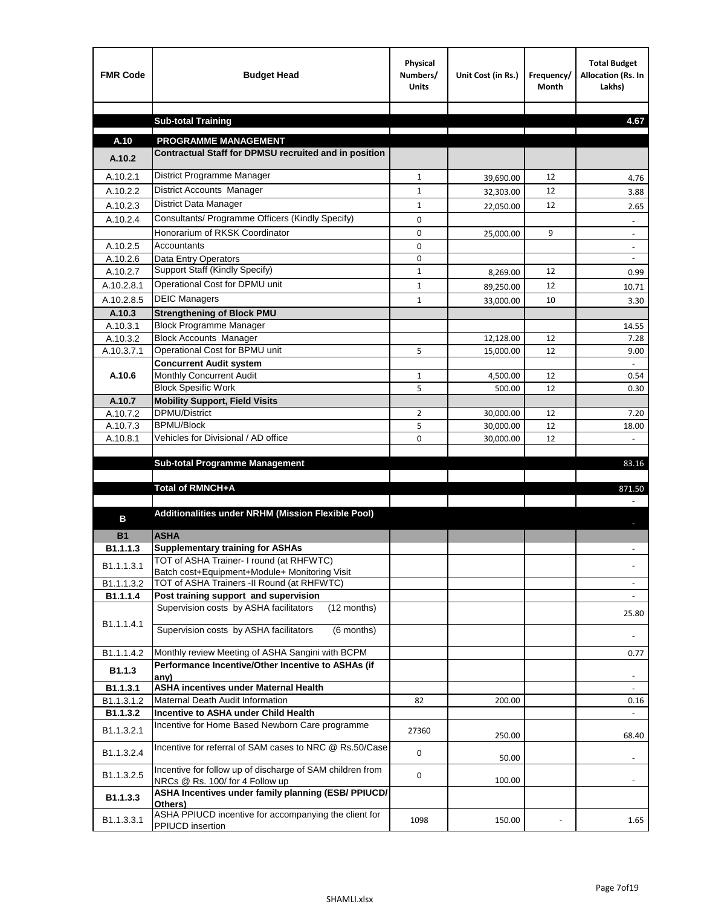| <b>FMR Code</b>    | <b>Budget Head</b>                                                                           | Physical<br>Numbers/<br><b>Units</b> | Unit Cost (in Rs.)     | Frequency/<br><b>Month</b> | <b>Total Budget</b><br>Allocation (Rs. In<br>Lakhs) |
|--------------------|----------------------------------------------------------------------------------------------|--------------------------------------|------------------------|----------------------------|-----------------------------------------------------|
|                    |                                                                                              |                                      |                        |                            |                                                     |
|                    | <b>Sub-total Training</b>                                                                    |                                      |                        |                            | 4.67                                                |
| A.10               | <b>PROGRAMME MANAGEMENT</b>                                                                  |                                      |                        |                            |                                                     |
| A.10.2             | Contractual Staff for DPMSU recruited and in position                                        |                                      |                        |                            |                                                     |
| A.10.2.1           | District Programme Manager                                                                   | $\mathbf{1}$                         |                        | 12                         |                                                     |
| A.10.2.2           | District Accounts Manager                                                                    | 1                                    | 39,690.00              | 12                         | 4.76                                                |
| A.10.2.3           | District Data Manager                                                                        | $\mathbf{1}$                         | 32,303.00              | 12                         | 3.88                                                |
| A.10.2.4           | Consultants/ Programme Officers (Kindly Specify)                                             | $\mathbf 0$                          | 22,050.00              |                            | 2.65                                                |
|                    | Honorarium of RKSK Coordinator                                                               | 0                                    |                        | 9                          |                                                     |
| A.10.2.5           | Accountants                                                                                  | 0                                    | 25,000.00              |                            | $\overline{\phantom{a}}$                            |
| A.10.2.6           | Data Entry Operators                                                                         | 0                                    |                        |                            | $\overline{\phantom{a}}$                            |
| A.10.2.7           | Support Staff (Kindly Specify)                                                               | $\mathbf{1}$                         | 8,269.00               | 12                         | 0.99                                                |
| A.10.2.8.1         | Operational Cost for DPMU unit                                                               | $\mathbf{1}$                         | 89,250.00              | 12                         | 10.71                                               |
| A.10.2.8.5         | <b>DEIC Managers</b>                                                                         | $\mathbf{1}$                         | 33,000.00              | 10                         | 3.30                                                |
| A.10.3             | <b>Strengthening of Block PMU</b>                                                            |                                      |                        |                            |                                                     |
| A.10.3.1           | <b>Block Programme Manager</b>                                                               |                                      |                        |                            | 14.55                                               |
| A.10.3.2           | <b>Block Accounts Manager</b>                                                                |                                      | 12,128.00              | 12                         | 7.28                                                |
| A.10.3.7.1         | Operational Cost for BPMU unit                                                               | 5                                    | 15,000.00              | 12                         | 9.00                                                |
|                    | <b>Concurrent Audit system</b>                                                               |                                      |                        |                            |                                                     |
| A.10.6             | Monthly Concurrent Audit                                                                     | $\mathbf{1}$                         | 4,500.00               | 12                         | 0.54                                                |
|                    | <b>Block Spesific Work</b>                                                                   | 5                                    | 500.00                 | 12                         | 0.30                                                |
| A.10.7<br>A.10.7.2 | <b>Mobility Support, Field Visits</b><br><b>DPMU/District</b>                                |                                      |                        |                            |                                                     |
| A.10.7.3           | <b>BPMU/Block</b>                                                                            | $\overline{2}$<br>5                  | 30,000.00<br>30,000.00 | 12<br>12                   | 7.20<br>18.00                                       |
| A.10.8.1           | Vehicles for Divisional / AD office                                                          | 0                                    | 30,000.00              | 12                         |                                                     |
|                    |                                                                                              |                                      |                        |                            |                                                     |
|                    | <b>Sub-total Programme Management</b>                                                        |                                      |                        |                            | 83.16                                               |
|                    |                                                                                              |                                      |                        |                            |                                                     |
|                    | Total of RMNCH+A                                                                             |                                      |                        |                            | 871.50                                              |
| в                  | Additionalities under NRHM (Mission Flexible Pool)                                           |                                      |                        |                            |                                                     |
| <b>B1</b>          | <b>ASHA</b>                                                                                  |                                      |                        |                            |                                                     |
| B1.1.1.3           | <b>Supplementary training for ASHAs</b>                                                      |                                      |                        |                            |                                                     |
| B1.1.1.3.1         | TOT of ASHA Trainer- I round (at RHFWTC)                                                     |                                      |                        |                            |                                                     |
|                    | Batch cost+Equipment+Module+ Monitoring Visit                                                |                                      |                        |                            |                                                     |
| B1.1.1.3.2         | TOT of ASHA Trainers -II Round (at RHFWTC)<br>Post training support and supervision          |                                      |                        |                            |                                                     |
| B1.1.1.4           | Supervision costs by ASHA facilitators<br>(12 months)                                        |                                      |                        |                            | $\sim$                                              |
|                    |                                                                                              |                                      |                        |                            | 25.80                                               |
| B1.1.1.4.1         | Supervision costs by ASHA facilitators<br>(6 months)                                         |                                      |                        |                            |                                                     |
| B1.1.1.4.2         | Monthly review Meeting of ASHA Sangini with BCPM                                             |                                      |                        |                            | 0.77                                                |
| B <sub>1.1.3</sub> | Performance Incentive/Other Incentive to ASHAs (if<br>any)                                   |                                      |                        |                            |                                                     |
| B1.1.3.1           | <b>ASHA incentives under Maternal Health</b>                                                 |                                      |                        |                            |                                                     |
| B1.1.3.1.2         | Maternal Death Audit Information                                                             | 82                                   | 200.00                 |                            | 0.16                                                |
| B1.1.3.2           | Incentive to ASHA under Child Health                                                         |                                      |                        |                            | $\omega$                                            |
| B1.1.3.2.1         | Incentive for Home Based Newborn Care programme                                              | 27360                                | 250.00                 |                            | 68.40                                               |
| B1.1.3.2.4         | Incentive for referral of SAM cases to NRC @ Rs.50/Case                                      | 0                                    | 50.00                  |                            |                                                     |
| B1.1.3.2.5         | Incentive for follow up of discharge of SAM children from<br>NRCs @ Rs. 100/ for 4 Follow up | 0                                    | 100.00                 |                            | $\sim$                                              |
| B1.1.3.3           | ASHA Incentives under family planning (ESB/ PPIUCD/<br>Others)                               |                                      |                        |                            |                                                     |
| B1.1.3.3.1         | ASHA PPIUCD incentive for accompanying the client for<br>PPIUCD insertion                    | 1098                                 | 150.00                 |                            | 1.65                                                |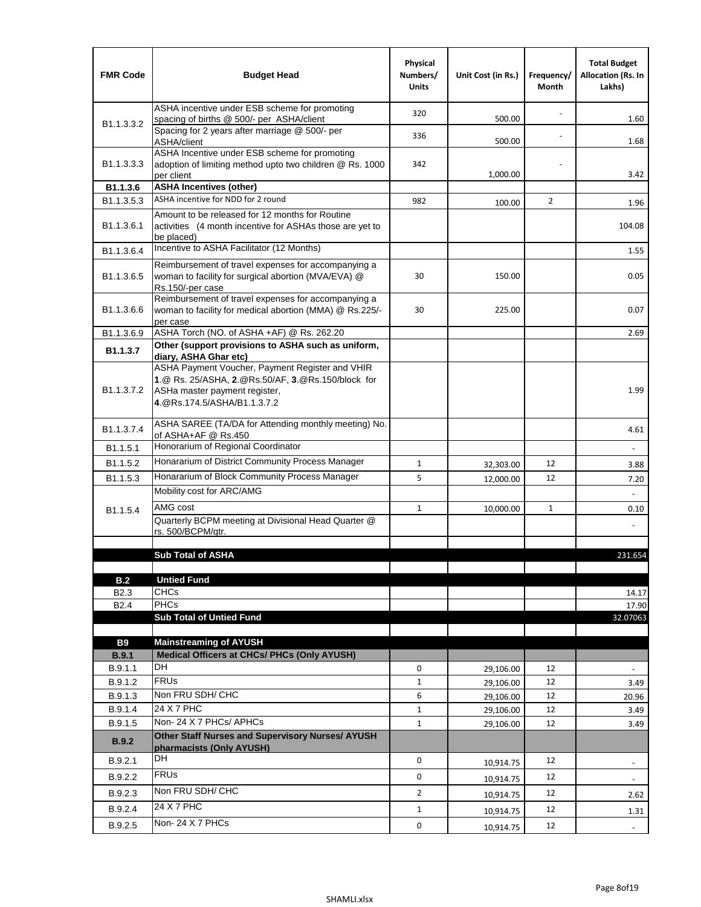| <b>FMR Code</b>            | <b>Budget Head</b>                                                                                                                                                    | Physical<br>Numbers/<br><b>Units</b> | Unit Cost (in Rs.) | Frequency/<br>Month | <b>Total Budget</b><br><b>Allocation (Rs. In</b><br>Lakhs) |
|----------------------------|-----------------------------------------------------------------------------------------------------------------------------------------------------------------------|--------------------------------------|--------------------|---------------------|------------------------------------------------------------|
|                            | ASHA incentive under ESB scheme for promoting<br>spacing of births @ 500/- per ASHA/client                                                                            | 320                                  | 500.00             |                     | 1.60                                                       |
| B <sub>1.1</sub> , 3, 3, 2 | Spacing for 2 years after marriage @ 500/- per<br>ASHA/client                                                                                                         | 336                                  | 500.00             | $\blacksquare$      | 1.68                                                       |
| B1.1.3.3.3                 | ASHA Incentive under ESB scheme for promoting<br>adoption of limiting method upto two children @ Rs. 1000<br>per client                                               | 342                                  | 1,000.00           |                     | 3.42                                                       |
| B1.1.3.6                   | <b>ASHA Incentives (other)</b>                                                                                                                                        |                                      |                    |                     |                                                            |
| B <sub>1.1</sub> , 3, 5, 3 | ASHA incentive for NDD for 2 round                                                                                                                                    | 982                                  | 100.00             | $\overline{2}$      | 1.96                                                       |
| B <sub>1.1</sub> .3.6.1    | Amount to be released for 12 months for Routine<br>activities (4 month incentive for ASHAs those are yet to<br>be placed)                                             |                                      |                    |                     | 104.08                                                     |
| B1.1.3.6.4                 | Incentive to ASHA Facilitator (12 Months)                                                                                                                             |                                      |                    |                     | 1.55                                                       |
| B <sub>1.1</sub> .3.6.5    | Reimbursement of travel expenses for accompanying a<br>woman to facility for surgical abortion (MVA/EVA) @<br>Rs.150/-per case                                        | 30                                   | 150.00             |                     | 0.05                                                       |
| B <sub>1.1</sub> .3.6.6    | Reimbursement of travel expenses for accompanying a<br>woman to facility for medical abortion (MMA) @ Rs.225/-<br>per case                                            | 30                                   | 225.00             |                     | 0.07                                                       |
| B1.1.3.6.9                 | ASHA Torch (NO. of ASHA +AF) @ Rs. 262.20                                                                                                                             |                                      |                    |                     | 2.69                                                       |
| B1.1.3.7                   | Other (support provisions to ASHA such as uniform,<br>diary, ASHA Ghar etc)                                                                                           |                                      |                    |                     |                                                            |
| B <sub>1.1</sub> .3.7.2    | ASHA Payment Voucher, Payment Register and VHIR<br>1.@ Rs. 25/ASHA, 2.@Rs.50/AF, 3.@Rs.150/block for<br>ASHa master payment register,<br>4. @Rs.174.5/ASHA/B1.1.3.7.2 |                                      |                    |                     | 1.99                                                       |
| B <sub>1.1</sub> .3.7.4    | ASHA SAREE (TA/DA for Attending monthly meeting) No.<br>of ASHA+AF @ Rs.450                                                                                           |                                      |                    |                     | 4.61                                                       |
| B <sub>1.1</sub> .5.1      | Honorarium of Regional Coordinator                                                                                                                                    |                                      |                    |                     |                                                            |
| B1.1.5.2                   | Honararium of District Community Process Manager                                                                                                                      | 1                                    | 32,303.00          | 12                  | 3.88                                                       |
| B <sub>1.1</sub> .5.3      | Honararium of Block Community Process Manager                                                                                                                         | 5                                    | 12,000.00          | 12                  | 7.20                                                       |
|                            | Mobility cost for ARC/AMG                                                                                                                                             |                                      |                    |                     |                                                            |
| B <sub>1.1.5.4</sub>       | AMG cost                                                                                                                                                              | 1                                    | 10,000.00          | $\mathbf{1}$        | 0.10                                                       |
|                            | Quarterly BCPM meeting at Divisional Head Quarter @<br>rs. 500/BCPM/qtr.                                                                                              |                                      |                    |                     |                                                            |
|                            |                                                                                                                                                                       |                                      |                    |                     |                                                            |
|                            | <b>Sub Total of ASHA</b>                                                                                                                                              |                                      |                    |                     | 231.654                                                    |
| B.2                        | <b>Untied Fund</b>                                                                                                                                                    |                                      |                    |                     |                                                            |
| B <sub>2.3</sub>           | <b>CHCs</b>                                                                                                                                                           |                                      |                    |                     | 14.17                                                      |
| B <sub>2.4</sub>           | <b>PHCs</b>                                                                                                                                                           |                                      |                    |                     | 17.90                                                      |
|                            | <b>Sub Total of Untied Fund</b>                                                                                                                                       |                                      |                    |                     | 32.07063                                                   |
| <b>B9</b>                  | <b>Mainstreaming of AYUSH</b>                                                                                                                                         |                                      |                    |                     |                                                            |
| B.9.1                      | Medical Officers at CHCs/ PHCs (Only AYUSH)                                                                                                                           |                                      |                    |                     |                                                            |
| B.9.1.1                    | <b>DH</b>                                                                                                                                                             | 0                                    | 29,106.00          | 12                  | $\blacksquare$                                             |
| B.9.1.2                    | <b>FRUs</b>                                                                                                                                                           | $\mathbf{1}$                         | 29,106.00          | 12                  | 3.49                                                       |
| B.9.1.3                    | Non FRU SDH/ CHC                                                                                                                                                      | 6                                    | 29,106.00          | 12                  | 20.96                                                      |
| B.9.1.4                    | 24 X 7 PHC                                                                                                                                                            | $\mathbf{1}$                         | 29,106.00          | 12                  | 3.49                                                       |
| B.9.1.5                    | Non-24 X 7 PHCs/ APHCs                                                                                                                                                | $\mathbf{1}$                         | 29,106.00          | 12                  | 3.49                                                       |
| B.9.2                      | <b>Other Staff Nurses and Supervisory Nurses/ AYUSH</b><br>pharmacists (Only AYUSH)                                                                                   |                                      |                    |                     |                                                            |
| B.9.2.1                    | DH                                                                                                                                                                    | 0                                    | 10,914.75          | 12                  | $\overline{\phantom{a}}$                                   |
| B.9.2.2                    | <b>FRUs</b>                                                                                                                                                           | 0                                    | 10,914.75          | 12                  | $\overline{\phantom{a}}$                                   |
| B.9.2.3                    | Non FRU SDH/ CHC                                                                                                                                                      | $\overline{2}$                       | 10,914.75          | 12                  | 2.62                                                       |
| B.9.2.4                    | 24 X 7 PHC                                                                                                                                                            | $\mathbf{1}$                         | 10,914.75          | 12                  | 1.31                                                       |
| B.9.2.5                    | Non-24 X 7 PHCs                                                                                                                                                       | 0                                    | 10,914.75          | 12                  | $\overline{\phantom{a}}$                                   |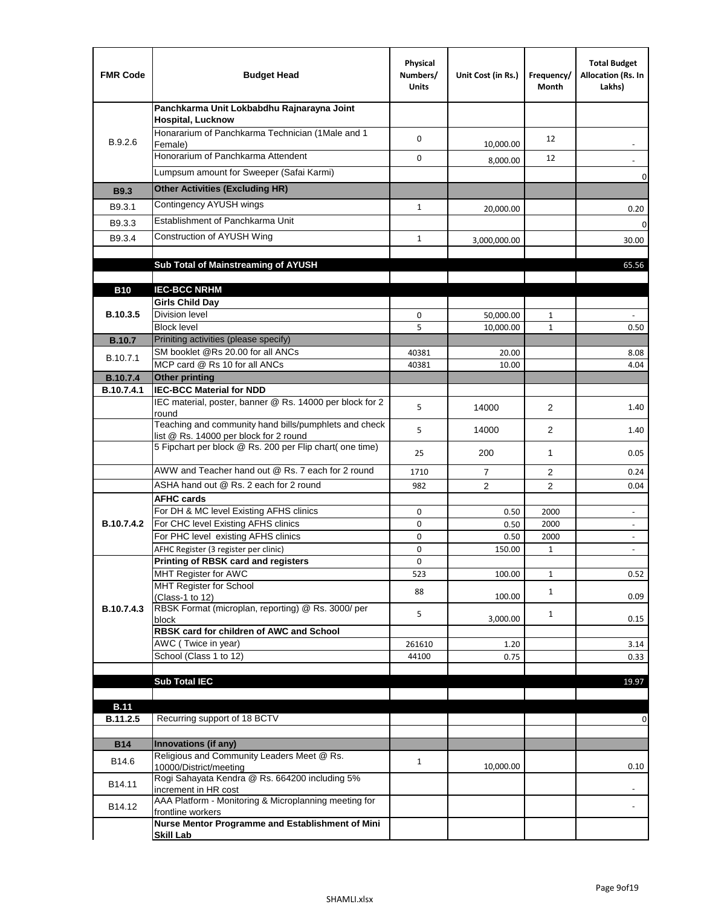| <b>FMR Code</b>   | <b>Budget Head</b>                                                                              | Physical<br>Numbers/<br><b>Units</b> | Unit Cost (in Rs.) | Frequency/<br>Month | <b>Total Budget</b><br>Allocation (Rs. In<br>Lakhs)  |
|-------------------|-------------------------------------------------------------------------------------------------|--------------------------------------|--------------------|---------------------|------------------------------------------------------|
|                   | Panchkarma Unit Lokbabdhu Rajnarayna Joint<br><b>Hospital, Lucknow</b>                          |                                      |                    |                     |                                                      |
| B.9.2.6           | Honararium of Panchkarma Technician (1Male and 1<br>Female)                                     | 0                                    | 10,000.00          | 12                  |                                                      |
|                   | Honorarium of Panchkarma Attendent                                                              | 0                                    | 8,000.00           | 12                  |                                                      |
|                   | Lumpsum amount for Sweeper (Safai Karmi)                                                        |                                      |                    |                     | 0                                                    |
| <b>B9.3</b>       | <b>Other Activities (Excluding HR)</b>                                                          |                                      |                    |                     |                                                      |
| B9.3.1            | Contingency AYUSH wings                                                                         | $\mathbf{1}$                         | 20,000.00          |                     | 0.20                                                 |
| B9.3.3            | Establishment of Panchkarma Unit                                                                |                                      |                    |                     | $\mathbf 0$                                          |
| B9.3.4            | Construction of AYUSH Wing                                                                      | $\mathbf{1}$                         | 3,000,000.00       |                     | 30.00                                                |
|                   |                                                                                                 |                                      |                    |                     |                                                      |
|                   | Sub Total of Mainstreaming of AYUSH                                                             |                                      |                    |                     | 65.56                                                |
| <b>B10</b>        | <b>IEC-BCC NRHM</b>                                                                             |                                      |                    |                     |                                                      |
|                   | <b>Girls Child Day</b>                                                                          |                                      |                    |                     |                                                      |
| B.10.3.5          | <b>Division level</b>                                                                           | 0                                    | 50,000.00          | 1                   |                                                      |
|                   | <b>Block level</b>                                                                              | 5                                    | 10,000.00          | $\mathbf{1}$        | 0.50                                                 |
| <b>B.10.7</b>     | Priniting activities (please specify)<br>SM booklet @Rs 20.00 for all ANCs                      |                                      |                    |                     |                                                      |
| B.10.7.1          | MCP card @ Rs 10 for all ANCs                                                                   | 40381<br>40381                       | 20.00<br>10.00     |                     | 8.08<br>4.04                                         |
| <b>B.10.7.4</b>   | <b>Other printing</b>                                                                           |                                      |                    |                     |                                                      |
| B.10.7.4.1        | <b>IEC-BCC Material for NDD</b>                                                                 |                                      |                    |                     |                                                      |
|                   | IEC material, poster, banner @ Rs. 14000 per block for 2<br>round                               | 5                                    | 14000              | $\overline{2}$      | 1.40                                                 |
|                   | Teaching and community hand bills/pumphlets and check<br>list @ Rs. 14000 per block for 2 round | 5                                    | 14000              | $\overline{2}$      | 1.40                                                 |
|                   | 5 Fipchart per block @ Rs. 200 per Flip chart( one time)                                        | 25                                   | 200                | 1                   | 0.05                                                 |
|                   | AWW and Teacher hand out @ Rs. 7 each for 2 round                                               | 1710                                 | $\overline{7}$     | 2                   | 0.24                                                 |
|                   | ASHA hand out @ Rs. 2 each for 2 round                                                          | 982                                  | $\overline{2}$     | 2                   | 0.04                                                 |
|                   | <b>AFHC cards</b>                                                                               |                                      |                    |                     |                                                      |
| <b>B.10.7.4.2</b> | For DH & MC level Existing AFHS clinics<br>For CHC level Existing AFHS clinics                  | 0<br>0                               | 0.50<br>0.50       | 2000<br>2000        | $\overline{\phantom{a}}$<br>$\overline{\phantom{a}}$ |
|                   | For PHC level existing AFHS clinics                                                             | 0                                    | 0.50               | 2000                | $\bar{\phantom{a}}$                                  |
|                   | AFHC Register (3 register per clinic)                                                           | 0                                    | 150.00             | $\mathbf{1}$        | $\blacksquare$                                       |
|                   | Printing of RBSK card and registers                                                             | 0                                    |                    |                     |                                                      |
|                   | MHT Register for AWC<br>MHT Register for School                                                 | 523                                  | 100.00             | $\mathbf{1}$        | 0.52                                                 |
|                   | (Class-1 to 12)                                                                                 | 88                                   | 100.00             | $\mathbf{1}$        | 0.09                                                 |
| B.10.7.4.3        | RBSK Format (microplan, reporting) @ Rs. 3000/ per                                              | 5                                    |                    | $\mathbf{1}$        |                                                      |
|                   | block<br>RBSK card for children of AWC and School                                               |                                      | 3,000.00           |                     | 0.15                                                 |
|                   | AWC (Twice in year)                                                                             | 261610                               | 1.20               |                     | 3.14                                                 |
|                   | School (Class 1 to 12)                                                                          | 44100                                | 0.75               |                     | 0.33                                                 |
|                   |                                                                                                 |                                      |                    |                     |                                                      |
|                   | <b>Sub Total IEC</b>                                                                            |                                      |                    |                     | 19.97                                                |
| <b>B.11</b>       |                                                                                                 |                                      |                    |                     |                                                      |
| B.11.2.5          | Recurring support of 18 BCTV                                                                    |                                      |                    |                     | 0                                                    |
|                   |                                                                                                 |                                      |                    |                     |                                                      |
| <b>B14</b>        | Innovations (if any)<br>Religious and Community Leaders Meet @ Rs.                              |                                      |                    |                     |                                                      |
| B14.6             | 10000/District/meeting                                                                          | $\mathbf{1}$                         | 10,000.00          |                     | 0.10                                                 |
| B14.11            | Rogi Sahayata Kendra @ Rs. 664200 including 5%<br>increment in HR cost                          |                                      |                    |                     |                                                      |
| B14.12            | AAA Platform - Monitoring & Microplanning meeting for<br>frontline workers                      |                                      |                    |                     |                                                      |
|                   | Nurse Mentor Programme and Establishment of Mini                                                |                                      |                    |                     |                                                      |
|                   | <b>Skill Lab</b>                                                                                |                                      |                    |                     |                                                      |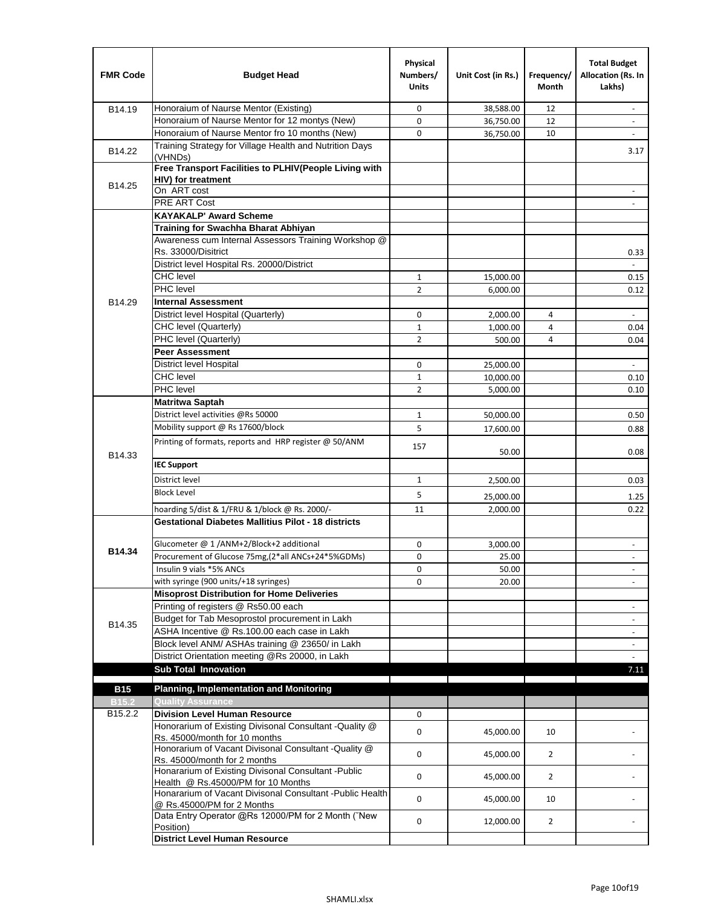| <b>FMR Code</b>   | <b>Budget Head</b>                                                                         | Physical<br>Numbers/<br><b>Units</b> | Unit Cost (in Rs.) | Frequency/<br><b>Month</b> | <b>Total Budget</b><br>Allocation (Rs. In<br>Lakhs) |
|-------------------|--------------------------------------------------------------------------------------------|--------------------------------------|--------------------|----------------------------|-----------------------------------------------------|
| B14.19            | Honoraium of Naurse Mentor (Existing)                                                      | 0                                    | 38,588.00          | 12                         | $\sim$                                              |
|                   | Honoraium of Naurse Mentor for 12 montys (New)                                             | 0                                    | 36,750.00          | 12                         |                                                     |
|                   | Honoraium of Naurse Mentor fro 10 months (New)                                             | 0                                    | 36,750.00          | 10                         | $\sim$                                              |
| B14.22            | Training Strategy for Village Health and Nutrition Days<br>(VHNDs)                         |                                      |                    |                            | 3.17                                                |
|                   | Free Transport Facilities to PLHIV(People Living with                                      |                                      |                    |                            |                                                     |
| B14.25            | <b>HIV)</b> for treatment                                                                  |                                      |                    |                            |                                                     |
|                   | On ART cost                                                                                |                                      |                    |                            |                                                     |
|                   | PRE ART Cost                                                                               |                                      |                    |                            |                                                     |
|                   | <b>KAYAKALP' Award Scheme</b>                                                              |                                      |                    |                            |                                                     |
|                   | Training for Swachha Bharat Abhiyan                                                        |                                      |                    |                            |                                                     |
|                   | Awareness cum Internal Assessors Training Workshop @<br>Rs. 33000/Disitrict                |                                      |                    |                            |                                                     |
|                   | District level Hospital Rs. 20000/District                                                 |                                      |                    |                            | 0.33<br>$\mathbf{r}$                                |
|                   | <b>CHC</b> level                                                                           | $\mathbf{1}$                         | 15,000.00          |                            | 0.15                                                |
|                   | <b>PHC</b> level                                                                           | $\overline{2}$                       | 6,000.00           |                            | 0.12                                                |
| B14.29            | <b>Internal Assessment</b>                                                                 |                                      |                    |                            |                                                     |
|                   | District level Hospital (Quarterly)                                                        | 0                                    | 2,000.00           | 4                          |                                                     |
|                   | CHC level (Quarterly)                                                                      | $\mathbf{1}$                         | 1,000.00           | 4                          | 0.04                                                |
|                   | PHC level (Quarterly)                                                                      | $\overline{2}$                       | 500.00             | 4                          | 0.04                                                |
|                   | <b>Peer Assessment</b>                                                                     |                                      |                    |                            |                                                     |
|                   | <b>District level Hospital</b>                                                             | 0                                    | 25.000.00          |                            |                                                     |
|                   | <b>CHC</b> level                                                                           | $\mathbf{1}$                         | 10,000.00          |                            | 0.10                                                |
|                   | PHC level                                                                                  | $\overline{2}$                       | 5,000.00           |                            | 0.10                                                |
|                   | Matritwa Saptah                                                                            |                                      |                    |                            |                                                     |
|                   | District level activities @Rs 50000                                                        | $\mathbf{1}$                         | 50,000.00          |                            | 0.50                                                |
|                   | Mobility support @ Rs 17600/block                                                          | 5                                    |                    |                            |                                                     |
|                   | Printing of formats, reports and HRP register @ 50/ANM                                     |                                      | 17,600.00          |                            | 0.88                                                |
| B14.33            |                                                                                            | 157                                  | 50.00              |                            | 0.08                                                |
|                   | <b>IEC Support</b>                                                                         |                                      |                    |                            |                                                     |
|                   | District level                                                                             | 1                                    | 2,500.00           |                            | 0.03                                                |
|                   | <b>Block Level</b>                                                                         | 5                                    | 25,000.00          |                            | 1.25                                                |
|                   | hoarding 5/dist & 1/FRU & 1/block @ Rs. 2000/-                                             | 11                                   | 2,000.00           |                            | 0.22                                                |
|                   | <b>Gestational Diabetes Mallitius Pilot - 18 districts</b>                                 |                                      |                    |                            |                                                     |
|                   | Glucometer @ 1 /ANM+2/Block+2 additional                                                   | 0                                    | 3,000.00           |                            | $\overline{\phantom{a}}$                            |
| B14.34            | Procurement of Glucose 75mg, (2*all ANCs+24*5%GDMs)                                        | 0                                    | 25.00              |                            |                                                     |
|                   | Insulin 9 vials *5% ANCs                                                                   | 0                                    | 50.00              |                            | $\blacksquare$                                      |
|                   | with syringe (900 units/+18 syringes)                                                      | 0                                    | 20.00              |                            |                                                     |
|                   | <b>Misoprost Distribution for Home Deliveries</b>                                          |                                      |                    |                            |                                                     |
|                   | Printing of registers @ Rs50.00 each                                                       |                                      |                    |                            | $\overline{\phantom{a}}$                            |
| B14.35            | Budget for Tab Mesoprostol procurement in Lakh                                             |                                      |                    |                            | $\blacksquare$                                      |
|                   | ASHA Incentive @ Rs.100.00 each case in Lakh                                               |                                      |                    |                            | $\overline{\phantom{a}}$                            |
|                   | Block level ANM/ ASHAs training @ 23650/ in Lakh                                           |                                      |                    |                            | $\overline{\phantom{a}}$                            |
|                   | District Orientation meeting @Rs 20000, in Lakh                                            |                                      |                    |                            |                                                     |
|                   | <b>Sub Total Innovation</b>                                                                |                                      |                    |                            | 7.11                                                |
| <b>B15</b>        | <b>Planning, Implementation and Monitoring</b>                                             |                                      |                    |                            |                                                     |
| B <sub>15.2</sub> | <b>Quality Assurance</b>                                                                   |                                      |                    |                            |                                                     |
| B15.2.2           | <b>Division Level Human Resource</b>                                                       | 0                                    |                    |                            |                                                     |
|                   | Honorarium of Existing Divisonal Consultant -Quality @                                     |                                      |                    |                            |                                                     |
|                   | Rs. 45000/month for 10 months<br>Honorarium of Vacant Divisonal Consultant -Quality @      | 0                                    | 45,000.00          | 10                         |                                                     |
|                   | Rs. 45000/month for 2 months                                                               | 0                                    | 45,000.00          | $\overline{2}$             |                                                     |
|                   | Honararium of Existing Divisonal Consultant - Public<br>Health @ Rs.45000/PM for 10 Months | 0                                    | 45,000.00          | $\overline{2}$             |                                                     |
|                   | Honararium of Vacant Divisonal Consultant - Public Health<br>@ Rs.45000/PM for 2 Months    | 0                                    | 45,000.00          | 10                         |                                                     |
|                   | Data Entry Operator @Rs 12000/PM for 2 Month ("New<br>Position)                            | 0                                    | 12,000.00          | $\overline{2}$             |                                                     |
|                   | <b>District Level Human Resource</b>                                                       |                                      |                    |                            |                                                     |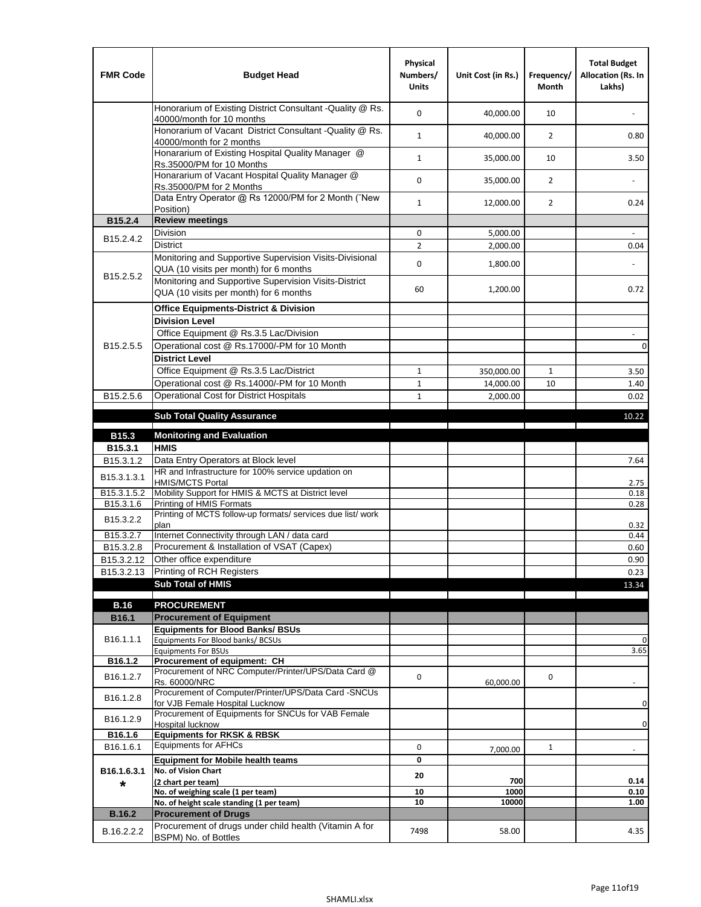| <b>FMR Code</b>         | <b>Budget Head</b>                                                                                | Physical<br>Numbers/<br><b>Units</b> | Unit Cost (in Rs.) | Frequency/<br><b>Month</b> | <b>Total Budget</b><br>Allocation (Rs. In<br>Lakhs) |
|-------------------------|---------------------------------------------------------------------------------------------------|--------------------------------------|--------------------|----------------------------|-----------------------------------------------------|
|                         | Honorarium of Existing District Consultant -Quality @ Rs.<br>40000/month for 10 months            | $\mathbf 0$                          | 40,000.00          | 10                         |                                                     |
|                         | Honorarium of Vacant District Consultant -Quality @ Rs.<br>40000/month for 2 months               | $\mathbf{1}$                         | 40,000.00          | $\overline{2}$             | 0.80                                                |
|                         | Honararium of Existing Hospital Quality Manager @<br>Rs.35000/PM for 10 Months                    | $\mathbf{1}$                         | 35,000.00          | 10                         | 3.50                                                |
|                         | Honararium of Vacant Hospital Quality Manager @<br>Rs.35000/PM for 2 Months                       | $\mathbf 0$                          | 35,000.00          | $\overline{2}$             |                                                     |
|                         | Data Entry Operator @ Rs 12000/PM for 2 Month ("New<br>Position)                                  | $\mathbf{1}$                         | 12,000.00          | $\overline{2}$             | 0.24                                                |
| B15.2.4                 | <b>Review meetings</b>                                                                            |                                      |                    |                            |                                                     |
| B <sub>15.2</sub> .4.2  | Division                                                                                          | 0                                    | 5,000.00           |                            |                                                     |
|                         | <b>District</b>                                                                                   | $\overline{2}$                       | 2,000.00           |                            | 0.04                                                |
| B15.2.5.2               | Monitoring and Supportive Supervision Visits-Divisional<br>QUA (10 visits per month) for 6 months | $\mathbf 0$                          | 1,800.00           |                            |                                                     |
|                         | Monitoring and Supportive Supervision Visits-District<br>QUA (10 visits per month) for 6 months   | 60                                   | 1,200.00           |                            | 0.72                                                |
|                         | <b>Office Equipments-District &amp; Division</b>                                                  |                                      |                    |                            |                                                     |
|                         | <b>Division Level</b>                                                                             |                                      |                    |                            |                                                     |
|                         | Office Equipment @ Rs.3.5 Lac/Division                                                            |                                      |                    |                            | $\overline{\phantom{a}}$                            |
| B15.2.5.5               | Operational cost @ Rs.17000/-PM for 10 Month                                                      |                                      |                    |                            | $\pmb{0}$                                           |
|                         | <b>District Level</b>                                                                             |                                      |                    |                            |                                                     |
|                         | Office Equipment @ Rs.3.5 Lac/District                                                            | $\mathbf{1}$                         | 350,000.00         | 1                          | 3.50                                                |
|                         | Operational cost @ Rs.14000/-PM for 10 Month                                                      | $1\,$                                | 14,000.00          | 10                         | 1.40                                                |
| B15.2.5.6               | <b>Operational Cost for District Hospitals</b>                                                    | $\mathbf{1}$                         | 2,000.00           |                            | 0.02                                                |
|                         | <b>Sub Total Quality Assurance</b>                                                                |                                      |                    |                            | 10.22                                               |
| B15.3                   | <b>Monitoring and Evaluation</b>                                                                  |                                      |                    |                            |                                                     |
| B15.3.1                 | <b>HMIS</b>                                                                                       |                                      |                    |                            |                                                     |
| B15.3.1.2               | Data Entry Operators at Block level                                                               |                                      |                    |                            | 7.64                                                |
| B15.3.1.3.1             | HR and Infrastructure for 100% service updation on<br><b>HMIS/MCTS Portal</b>                     |                                      |                    |                            | 2.75                                                |
| B <sub>15.3.1.5.2</sub> | Mobility Support for HMIS & MCTS at District level                                                |                                      |                    |                            | 0.18                                                |
| B15.3.1.6               | Printing of HMIS Formats<br>Printing of MCTS follow-up formats/ services due list/ work           |                                      |                    |                            | 0.28                                                |
| B15.3.2.2               | plan                                                                                              |                                      |                    |                            | 0.32                                                |
| B15.3.2.7               | Internet Connectivity through LAN / data card                                                     |                                      |                    |                            | 0.44                                                |
| B15.3.2.8               | Procurement & Installation of VSAT (Capex)                                                        |                                      |                    |                            | 0.60                                                |
| B15.3.2.12              | Other office expenditure                                                                          |                                      |                    |                            | 0.90                                                |
| B15.3.2.13              | Printing of RCH Registers                                                                         |                                      |                    |                            | 0.23                                                |
|                         | <b>Sub Total of HMIS</b>                                                                          |                                      |                    |                            | 13.34                                               |
| <b>B.16</b>             | <b>PROCUREMENT</b>                                                                                |                                      |                    |                            |                                                     |
| B16.1                   | <b>Procurement of Equipment</b>                                                                   |                                      |                    |                            |                                                     |
|                         | <b>Equipments for Blood Banks/ BSUs</b>                                                           |                                      |                    |                            |                                                     |
| B16.1.1.1               | Equipments For Blood banks/ BCSUs                                                                 |                                      |                    |                            | 0                                                   |
| B16.1.2                 | <b>Equipments For BSUs</b><br>Procurement of equipment: CH                                        |                                      |                    |                            | 3.65                                                |
| B16.1.2.7               | Procurement of NRC Computer/Printer/UPS/Data Card @                                               | 0                                    |                    | 0                          |                                                     |
|                         | Rs. 60000/NRC                                                                                     |                                      | 60,000.00          |                            |                                                     |
| B16.1.2.8               | Procurement of Computer/Printer/UPS/Data Card -SNCUs                                              |                                      |                    |                            |                                                     |
|                         | for VJB Female Hospital Lucknow<br>Procurement of Equipments for SNCUs for VAB Female             |                                      |                    |                            | 0                                                   |
| B16.1.2.9               | Hospital lucknow                                                                                  |                                      |                    |                            | 0                                                   |
| B16.1.6                 | <b>Equipments for RKSK &amp; RBSK</b>                                                             |                                      |                    |                            |                                                     |
| B16.1.6.1               | <b>Equipments for AFHCs</b>                                                                       | 0                                    | 7,000.00           | $\mathbf{1}$               |                                                     |
|                         | <b>Equipment for Mobile health teams</b>                                                          | 0                                    |                    |                            |                                                     |
| B16.1.6.3.1             | No. of Vision Chart<br>(2 chart per team)                                                         | 20                                   | 700                |                            | 0.14                                                |
| *                       | No. of weighing scale (1 per team)                                                                | 10                                   | 1000               |                            | 0.10                                                |
|                         | No. of height scale standing (1 per team)                                                         | 10                                   | 10000              |                            | 1.00                                                |
| <b>B.16.2</b>           | <b>Procurement of Drugs</b>                                                                       |                                      |                    |                            |                                                     |
| B.16.2.2.2              | Procurement of drugs under child health (Vitamin A for<br>BSPM) No. of Bottles                    | 7498                                 | 58.00              |                            | 4.35                                                |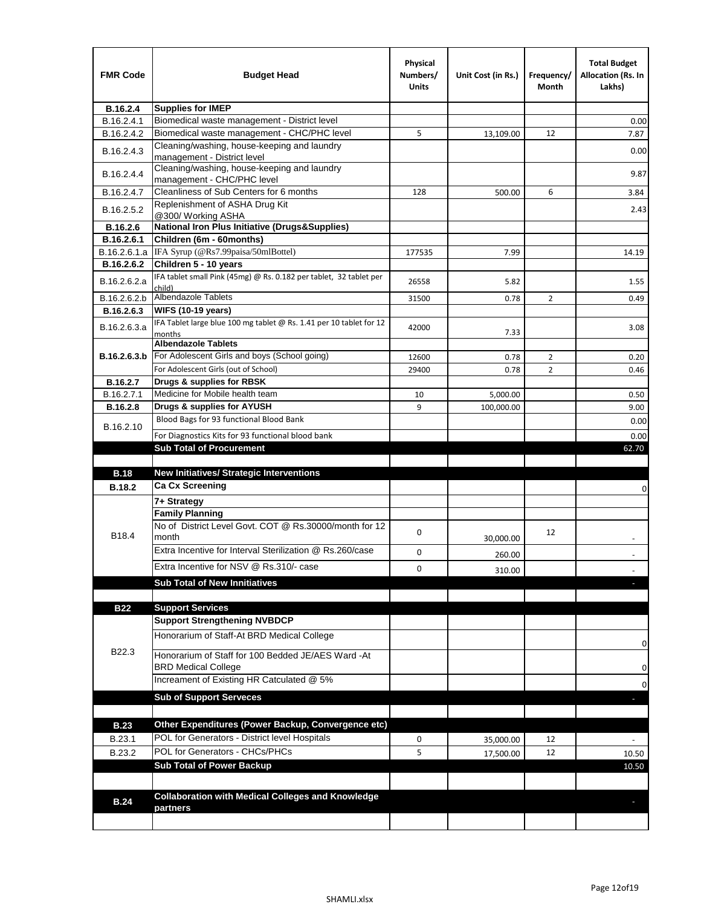| <b>FMR Code</b> | <b>Budget Head</b>                                                            | Physical<br>Numbers/<br><b>Units</b> | Unit Cost (in Rs.) | Frequency/<br>Month | <b>Total Budget</b><br>Allocation (Rs. In<br>Lakhs) |
|-----------------|-------------------------------------------------------------------------------|--------------------------------------|--------------------|---------------------|-----------------------------------------------------|
| B.16.2.4        | <b>Supplies for IMEP</b>                                                      |                                      |                    |                     |                                                     |
| B.16.2.4.1      | Biomedical waste management - District level                                  |                                      |                    |                     | 0.00                                                |
| B.16.2.4.2      | Biomedical waste management - CHC/PHC level                                   | 5                                    | 13,109.00          | 12                  | 7.87                                                |
| B.16.2.4.3      | Cleaning/washing, house-keeping and laundry<br>management - District level    |                                      |                    |                     | 0.00                                                |
| B.16.2.4.4      | Cleaning/washing, house-keeping and laundry<br>management - CHC/PHC level     |                                      |                    |                     | 9.87                                                |
| B.16.2.4.7      | Cleanliness of Sub Centers for 6 months                                       | 128                                  | 500.00             | 6                   | 3.84                                                |
| B.16.2.5.2      | Replenishment of ASHA Drug Kit<br>@300/ Working ASHA                          |                                      |                    |                     | 2.43                                                |
| B.16.2.6        | <b>National Iron Plus Initiative (Drugs&amp;Supplies)</b>                     |                                      |                    |                     |                                                     |
| B.16.2.6.1      | Children (6m - 60months)                                                      |                                      |                    |                     |                                                     |
| B.16.2.6.1.a    | IFA Syrup (@Rs7.99paisa/50mlBottel)                                           | 177535                               | 7.99               |                     | 14.19                                               |
| B.16.2.6.2      | Children 5 - 10 years                                                         |                                      |                    |                     |                                                     |
| B.16.2.6.2.a    | IFA tablet small Pink (45mg) @ Rs. 0.182 per tablet, 32 tablet per<br>child)  | 26558                                | 5.82               |                     | 1.55                                                |
| B.16.2.6.2.b    | <b>Albendazole Tablets</b>                                                    | 31500                                | 0.78               | 2                   | 0.49                                                |
| B.16.2.6.3      | <b>WIFS (10-19 years)</b>                                                     |                                      |                    |                     |                                                     |
| B.16.2.6.3.a    | IFA Tablet large blue 100 mg tablet @ Rs. 1.41 per 10 tablet for 12<br>months | 42000                                | 7.33               |                     | 3.08                                                |
|                 | <b>Albendazole Tablets</b>                                                    |                                      |                    |                     |                                                     |
| B.16.2.6.3.b    | For Adolescent Girls and boys (School going)                                  | 12600                                | 0.78               | $\overline{2}$      | 0.20                                                |
|                 | For Adolescent Girls (out of School)                                          | 29400                                | 0.78               | $\overline{2}$      | 0.46                                                |
| B.16.2.7        | Drugs & supplies for RBSK                                                     |                                      |                    |                     |                                                     |
| B.16.2.7.1      | Medicine for Mobile health team                                               | 10                                   | 5,000.00           |                     | 0.50                                                |
| <b>B.16.2.8</b> | Drugs & supplies for AYUSH                                                    | 9                                    | 100,000.00         |                     | 9.00                                                |
| B.16.2.10       | Blood Bags for 93 functional Blood Bank                                       |                                      |                    |                     | 0.00                                                |
|                 | For Diagnostics Kits for 93 functional blood bank                             |                                      |                    |                     | 0.00                                                |
|                 | <b>Sub Total of Procurement</b>                                               |                                      |                    |                     | 62.70                                               |
|                 |                                                                               |                                      |                    |                     |                                                     |
| <b>B.18</b>     | <b>New Initiatives/ Strategic Interventions</b>                               |                                      |                    |                     |                                                     |
| <b>B.18.2</b>   | <b>Ca Cx Screening</b>                                                        |                                      |                    |                     | 0                                                   |
|                 | 7+ Strategy                                                                   |                                      |                    |                     |                                                     |
|                 | <b>Family Planning</b>                                                        |                                      |                    |                     |                                                     |
| B18.4           | No of District Level Govt. COT @ Rs.30000/month for 12<br>month               | 0                                    | 30,000.00          | 12                  |                                                     |
|                 | Extra Incentive for Interval Sterilization @ Rs.260/case                      | 0                                    | 260.00             |                     |                                                     |
|                 | Extra Incentive for NSV @ Rs.310/- case                                       | 0                                    |                    |                     |                                                     |
|                 | <b>Sub Total of New Innitiatives</b>                                          |                                      | 310.00             |                     |                                                     |
|                 |                                                                               |                                      |                    |                     |                                                     |
| <b>B22</b>      | <b>Support Services</b>                                                       |                                      |                    |                     |                                                     |
|                 | <b>Support Strengthening NVBDCP</b>                                           |                                      |                    |                     |                                                     |
|                 | Honorarium of Staff-At BRD Medical College                                    |                                      |                    |                     | 0                                                   |
| B22.3           | Honorarium of Staff for 100 Bedded JE/AES Ward -At                            |                                      |                    |                     |                                                     |
|                 | <b>BRD Medical College</b><br>Increament of Existing HR Catculated @ 5%       |                                      |                    |                     | 0<br>0                                              |
|                 | <b>Sub of Support Serveces</b>                                                |                                      |                    |                     |                                                     |
|                 |                                                                               |                                      |                    |                     |                                                     |
| <b>B.23</b>     | Other Expenditures (Power Backup, Convergence etc)                            |                                      |                    |                     |                                                     |
| B.23.1          | POL for Generators - District level Hospitals                                 | 0                                    | 35,000.00          | 12                  |                                                     |
| B.23.2          | POL for Generators - CHCs/PHCs                                                | 5                                    | 17,500.00          | 12                  | 10.50                                               |
|                 | <b>Sub Total of Power Backup</b>                                              |                                      |                    |                     | 10.50                                               |
|                 |                                                                               |                                      |                    |                     |                                                     |
|                 | <b>Collaboration with Medical Colleges and Knowledge</b>                      |                                      |                    |                     |                                                     |
| <b>B.24</b>     | partners                                                                      |                                      |                    |                     |                                                     |
|                 |                                                                               |                                      |                    |                     |                                                     |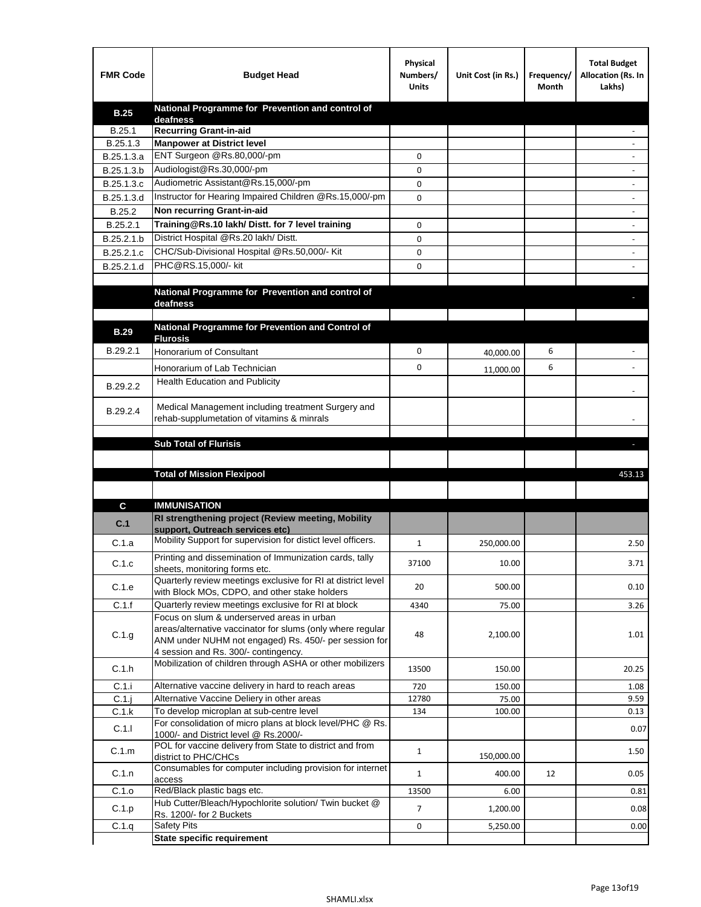| <b>FMR Code</b> | <b>Budget Head</b>                                                                                   | Physical<br>Numbers/<br><b>Units</b> | Unit Cost (in Rs.) | Frequency/<br>Month | <b>Total Budget</b><br>Allocation (Rs. In<br>Lakhs) |
|-----------------|------------------------------------------------------------------------------------------------------|--------------------------------------|--------------------|---------------------|-----------------------------------------------------|
| <b>B.25</b>     | National Programme for Prevention and control of                                                     |                                      |                    |                     |                                                     |
| B.25.1          | deafness<br><b>Recurring Grant-in-aid</b>                                                            |                                      |                    |                     |                                                     |
| B.25.1.3        | <b>Manpower at District level</b>                                                                    |                                      |                    |                     |                                                     |
| B.25.1.3.a      | ENT Surgeon @Rs.80,000/-pm                                                                           | 0                                    |                    |                     |                                                     |
| B.25.1.3.b      | Audiologist@Rs.30,000/-pm                                                                            | 0                                    |                    |                     |                                                     |
| B.25.1.3.c      | Audiometric Assistant@Rs.15,000/-pm                                                                  | 0                                    |                    |                     |                                                     |
| B.25.1.3.d      | Instructor for Hearing Impaired Children @Rs.15,000/-pm                                              | 0                                    |                    |                     |                                                     |
| B.25.2          | Non recurring Grant-in-aid                                                                           |                                      |                    |                     |                                                     |
| B.25.2.1        | Training@Rs.10 lakh/ Distt. for 7 level training                                                     | 0                                    |                    |                     |                                                     |
| B.25.2.1.b      | District Hospital @Rs.20 lakh/Distt.                                                                 | 0                                    |                    |                     |                                                     |
| B.25.2.1.c      | CHC/Sub-Divisional Hospital @Rs.50,000/- Kit                                                         | 0                                    |                    |                     |                                                     |
| B.25.2.1.d      | PHC@RS.15,000/- kit                                                                                  | 0                                    |                    |                     |                                                     |
|                 |                                                                                                      |                                      |                    |                     |                                                     |
|                 | National Programme for Prevention and control of                                                     |                                      |                    |                     |                                                     |
|                 | deafness                                                                                             |                                      |                    |                     |                                                     |
|                 | National Programme for Prevention and Control of                                                     |                                      |                    |                     |                                                     |
| <b>B.29</b>     | <b>Flurosis</b>                                                                                      |                                      |                    |                     |                                                     |
| B.29.2.1        | Honorarium of Consultant                                                                             | 0                                    | 40,000.00          | 6                   |                                                     |
|                 | Honorarium of Lab Technician                                                                         | 0                                    | 11,000.00          | 6                   |                                                     |
| B.29.2.2        | Health Education and Publicity                                                                       |                                      |                    |                     |                                                     |
|                 |                                                                                                      |                                      |                    |                     |                                                     |
| B.29.2.4        | Medical Management including treatment Surgery and                                                   |                                      |                    |                     |                                                     |
|                 | rehab-supplumetation of vitamins & minrals                                                           |                                      |                    |                     |                                                     |
|                 | <b>Sub Total of Flurisis</b>                                                                         |                                      |                    |                     | ь                                                   |
|                 |                                                                                                      |                                      |                    |                     |                                                     |
|                 | <b>Total of Mission Flexipool</b>                                                                    |                                      |                    |                     | 453.13                                              |
|                 |                                                                                                      |                                      |                    |                     |                                                     |
| C               | <b>IMMUNISATION</b>                                                                                  |                                      |                    |                     |                                                     |
|                 | RI strengthening project (Review meeting, Mobility                                                   |                                      |                    |                     |                                                     |
| C.1             | support. Outreach services etc)                                                                      |                                      |                    |                     |                                                     |
| C.1.a           | Mobility Support for supervision for distict level officers.                                         | 1                                    | 250,000.00         |                     | 2.50                                                |
|                 | Printing and dissemination of Immunization cards, tally                                              |                                      |                    |                     |                                                     |
| C.1.c           | sheets, monitoring forms etc.                                                                        | 37100                                | 10.00              |                     | 3.71                                                |
| C.1.e           | Quarterly review meetings exclusive for RI at district level                                         | 20                                   | 500.00             |                     | 0.10                                                |
| C.1.f           | with Block MOs, CDPO, and other stake holders<br>Quarterly review meetings exclusive for RI at block | 4340                                 | 75.00              |                     | 3.26                                                |
|                 | Focus on slum & underserved areas in urban                                                           |                                      |                    |                     |                                                     |
|                 | areas/alternative vaccinator for slums (only where regular                                           | 48                                   |                    |                     |                                                     |
| C.1.g           | ANM under NUHM not engaged) Rs. 450/- per session for                                                |                                      | 2,100.00           |                     | 1.01                                                |
|                 | 4 session and Rs. 300/- contingency.                                                                 |                                      |                    |                     |                                                     |
| C.1.h           | Mobilization of children through ASHA or other mobilizers                                            | 13500                                | 150.00             |                     | 20.25                                               |
| C.1.i           | Alternative vaccine delivery in hard to reach areas                                                  | 720                                  | 150.00             |                     | 1.08                                                |
| $C.1$ .j        | Alternative Vaccine Deliery in other areas                                                           | 12780                                | 75.00              |                     | 9.59                                                |
| C.1.k           | To develop microplan at sub-centre level                                                             | 134                                  | 100.00             |                     | 0.13                                                |
| C.1.1           | For consolidation of micro plans at block level/PHC @ Rs.                                            |                                      |                    |                     | 0.07                                                |
|                 | 1000/- and District level @ Rs.2000/-<br>POL for vaccine delivery from State to district and from    |                                      |                    |                     |                                                     |
| C.1.m           | district to PHC/CHCs                                                                                 | $\mathbf{1}$                         | 150,000.00         |                     | 1.50                                                |
| C.1.n           | Consumables for computer including provision for internet                                            | $\mathbf{1}$                         | 400.00             | 12                  | 0.05                                                |
|                 | access                                                                                               |                                      |                    |                     |                                                     |
| C.1.o           | Red/Black plastic bags etc.<br>Hub Cutter/Bleach/Hypochlorite solution/ Twin bucket @                | 13500                                | 6.00               |                     | 0.81                                                |
| C.1.p           | Rs. 1200/- for 2 Buckets                                                                             | 7                                    | 1,200.00           |                     | 0.08                                                |
| C.1.q           | <b>Safety Pits</b>                                                                                   | 0                                    | 5,250.00           |                     | 0.00                                                |
|                 | <b>State specific requirement</b>                                                                    |                                      |                    |                     |                                                     |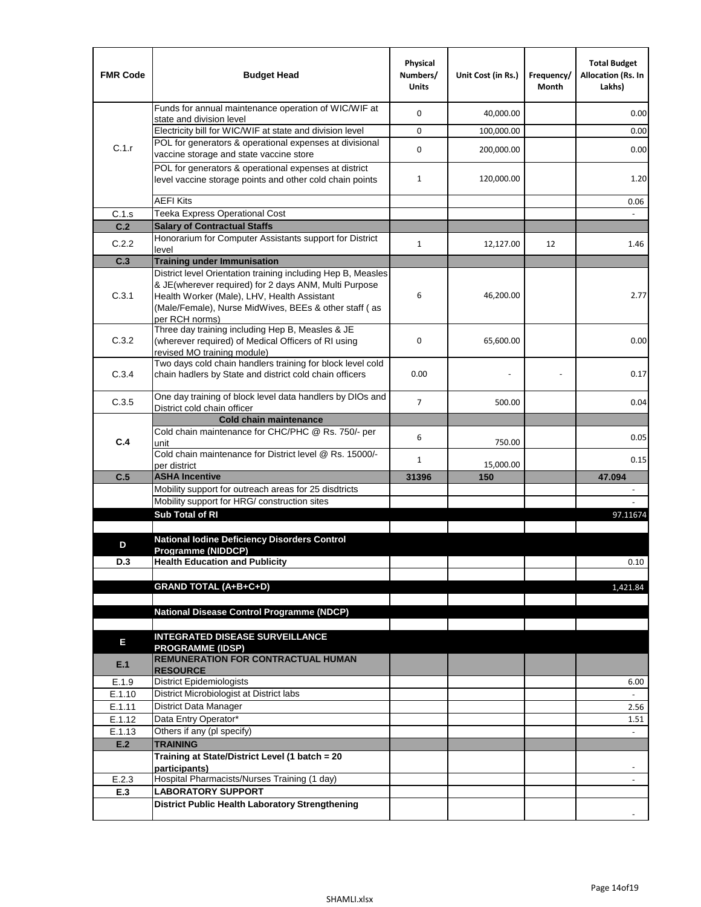| <b>FMR Code</b>  | <b>Budget Head</b>                                                                                                                                                              | Physical<br>Numbers/<br><b>Units</b> | Unit Cost (in Rs.) | Frequency/<br>Month | <b>Total Budget</b><br><b>Allocation (Rs. In</b><br>Lakhs) |
|------------------|---------------------------------------------------------------------------------------------------------------------------------------------------------------------------------|--------------------------------------|--------------------|---------------------|------------------------------------------------------------|
|                  | Funds for annual maintenance operation of WIC/WIF at<br>state and division level                                                                                                | $\mathbf 0$                          | 40,000.00          |                     | 0.00                                                       |
|                  | Electricity bill for WIC/WIF at state and division level                                                                                                                        | $\mathbf 0$                          | 100,000.00         |                     | 0.00                                                       |
| C.1.r            | POL for generators & operational expenses at divisional                                                                                                                         |                                      |                    |                     |                                                            |
|                  | vaccine storage and state vaccine store                                                                                                                                         | $\mathbf 0$                          | 200,000.00         |                     | 0.00                                                       |
|                  | POL for generators & operational expenses at district<br>level vaccine storage points and other cold chain points                                                               | $\mathbf{1}$                         | 120,000.00         |                     | 1.20                                                       |
|                  | <b>AEFI Kits</b>                                                                                                                                                                |                                      |                    |                     | 0.06                                                       |
| C.1.s            | Teeka Express Operational Cost                                                                                                                                                  |                                      |                    |                     |                                                            |
| C.2              | <b>Salary of Contractual Staffs</b>                                                                                                                                             |                                      |                    |                     |                                                            |
| C.2.2            | Honorarium for Computer Assistants support for District<br>level                                                                                                                | 1                                    | 12,127.00          | 12                  | 1.46                                                       |
| C.3              | <b>Training under Immunisation</b>                                                                                                                                              |                                      |                    |                     |                                                            |
|                  | District level Orientation training including Hep B, Measles                                                                                                                    |                                      |                    |                     |                                                            |
| C.3.1            | & JE(wherever required) for 2 days ANM, Multi Purpose<br>Health Worker (Male), LHV, Health Assistant<br>(Male/Female), Nurse MidWives, BEEs & other staff (as<br>per RCH norms) | 6                                    | 46,200.00          |                     | 2.77                                                       |
| C.3.2            | Three day training including Hep B, Measles & JE<br>(wherever required) of Medical Officers of RI using<br>revised MO training module)                                          | $\mathbf 0$                          | 65,600.00          |                     | 0.00                                                       |
| C.3.4            | Two days cold chain handlers training for block level cold<br>chain hadlers by State and district cold chain officers                                                           | 0.00                                 |                    |                     | 0.17                                                       |
| C.3.5            | One day training of block level data handlers by DIOs and                                                                                                                       | $\overline{7}$                       | 500.00             |                     | 0.04                                                       |
|                  | District cold chain officer<br><b>Cold chain maintenance</b>                                                                                                                    |                                      |                    |                     |                                                            |
|                  | Cold chain maintenance for CHC/PHC @ Rs. 750/- per                                                                                                                              |                                      |                    |                     |                                                            |
| C.4              | unit                                                                                                                                                                            | 6                                    | 750.00             |                     | 0.05                                                       |
|                  | Cold chain maintenance for District level @ Rs. 15000/-                                                                                                                         | $\mathbf{1}$                         | 15,000.00          |                     | 0.15                                                       |
| C.5              | per district<br><b>ASHA Incentive</b>                                                                                                                                           | 31396                                | 150                |                     | 47.094                                                     |
|                  | Mobility support for outreach areas for 25 disdtricts                                                                                                                           |                                      |                    |                     |                                                            |
|                  | Mobility support for HRG/ construction sites                                                                                                                                    |                                      |                    |                     |                                                            |
|                  | Sub Total of RI                                                                                                                                                                 |                                      |                    |                     | 97.11674                                                   |
|                  |                                                                                                                                                                                 |                                      |                    |                     |                                                            |
| D                | <b>National Iodine Deficiency Disorders Control</b><br>Programme (NIDDCP)                                                                                                       |                                      |                    |                     |                                                            |
| D.3              | <b>Health Education and Publicity</b>                                                                                                                                           |                                      |                    |                     | 0.10                                                       |
|                  |                                                                                                                                                                                 |                                      |                    |                     |                                                            |
|                  | <b>GRAND TOTAL (A+B+C+D)</b>                                                                                                                                                    |                                      |                    |                     | 1,421.84                                                   |
|                  |                                                                                                                                                                                 |                                      |                    |                     |                                                            |
|                  | <b>National Disease Control Programme (NDCP)</b>                                                                                                                                |                                      |                    |                     |                                                            |
|                  | <b>INTEGRATED DISEASE SURVEILLANCE</b>                                                                                                                                          |                                      |                    |                     |                                                            |
| Ε                | <b>PROGRAMME (IDSP)</b>                                                                                                                                                         |                                      |                    |                     |                                                            |
| E.1              | <b>REMUNERATION FOR CONTRACTUAL HUMAN</b><br><b>RESOURCE</b>                                                                                                                    |                                      |                    |                     |                                                            |
| E.1.9            | District Epidemiologists                                                                                                                                                        |                                      |                    |                     | 6.00                                                       |
| E.1.10           | District Microbiologist at District labs                                                                                                                                        |                                      |                    |                     | $\overline{a}$                                             |
| E.1.11<br>E.1.12 | District Data Manager<br>Data Entry Operator*                                                                                                                                   |                                      |                    |                     | 2.56<br>1.51                                               |
| E.1.13           | Others if any (pl specify)                                                                                                                                                      |                                      |                    |                     | $\omega$                                                   |
| E.2              | <b>TRAINING</b>                                                                                                                                                                 |                                      |                    |                     |                                                            |
|                  | Training at State/District Level (1 batch = 20                                                                                                                                  |                                      |                    |                     |                                                            |
|                  | participants)                                                                                                                                                                   |                                      |                    |                     |                                                            |
| E.2.3            | Hospital Pharmacists/Nurses Training (1 day)                                                                                                                                    |                                      |                    |                     |                                                            |
| E.3              | <b>LABORATORY SUPPORT</b><br><b>District Public Health Laboratory Strengthening</b>                                                                                             |                                      |                    |                     |                                                            |
|                  |                                                                                                                                                                                 |                                      |                    |                     |                                                            |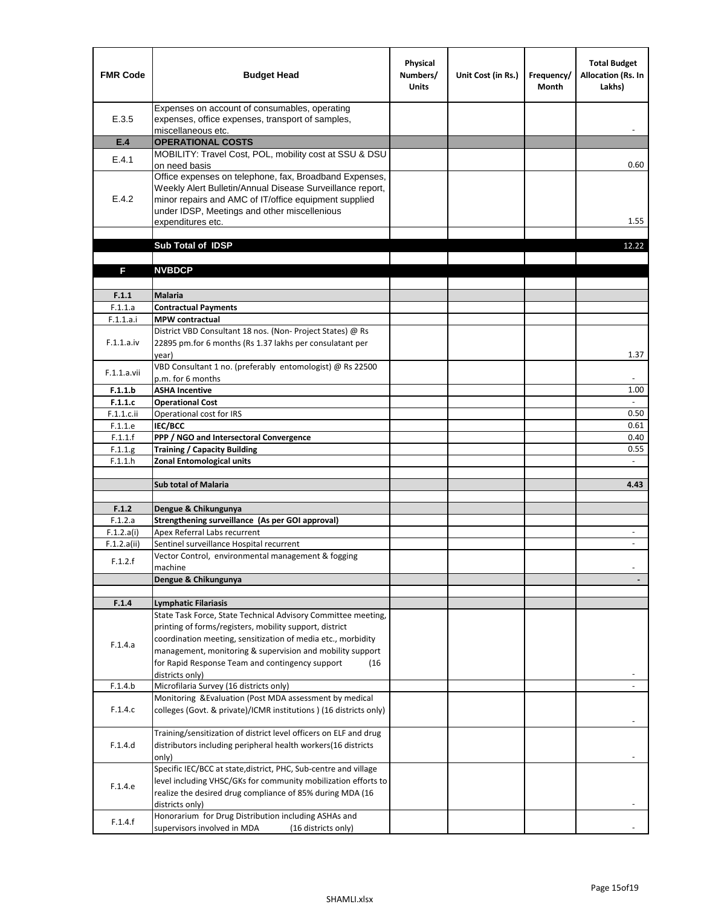| <b>FMR Code</b>    | <b>Budget Head</b>                                                                                                                                                                                                                                | Physical<br>Numbers/<br><b>Units</b> | Unit Cost (in Rs.) | Frequency/<br><b>Month</b> | <b>Total Budget</b><br>Allocation (Rs. In<br>Lakhs) |
|--------------------|---------------------------------------------------------------------------------------------------------------------------------------------------------------------------------------------------------------------------------------------------|--------------------------------------|--------------------|----------------------------|-----------------------------------------------------|
| E.3.5              | Expenses on account of consumables, operating<br>expenses, office expenses, transport of samples,<br>miscellaneous etc.                                                                                                                           |                                      |                    |                            |                                                     |
| E.4                | <b>OPERATIONAL COSTS</b>                                                                                                                                                                                                                          |                                      |                    |                            |                                                     |
| E.4.1              | MOBILITY: Travel Cost, POL, mobility cost at SSU & DSU                                                                                                                                                                                            |                                      |                    |                            |                                                     |
|                    | on need basis                                                                                                                                                                                                                                     |                                      |                    |                            | 0.60                                                |
| E.4.2              | Office expenses on telephone, fax, Broadband Expenses,<br>Weekly Alert Bulletin/Annual Disease Surveillance report,<br>minor repairs and AMC of IT/office equipment supplied<br>under IDSP, Meetings and other miscellenious<br>expenditures etc. |                                      |                    |                            | 1.55                                                |
|                    | Sub Total of IDSP                                                                                                                                                                                                                                 |                                      |                    |                            | 12.22                                               |
|                    |                                                                                                                                                                                                                                                   |                                      |                    |                            |                                                     |
| F                  | <b>NVBDCP</b>                                                                                                                                                                                                                                     |                                      |                    |                            |                                                     |
|                    |                                                                                                                                                                                                                                                   |                                      |                    |                            |                                                     |
| F.1.1              | <b>Malaria</b>                                                                                                                                                                                                                                    |                                      |                    |                            |                                                     |
| F.1.1.a            | <b>Contractual Payments</b>                                                                                                                                                                                                                       |                                      |                    |                            |                                                     |
| F.1.1.a.i          | <b>MPW</b> contractual<br>District VBD Consultant 18 nos. (Non-Project States) @ Rs                                                                                                                                                               |                                      |                    |                            |                                                     |
| F.1.1.a.iv         | 22895 pm.for 6 months (Rs 1.37 lakhs per consulatant per                                                                                                                                                                                          |                                      |                    |                            | 1.37                                                |
|                    | year)<br>VBD Consultant 1 no. (preferably entomologist) @ Rs 22500                                                                                                                                                                                |                                      |                    |                            |                                                     |
| F.1.1.a.vii        | p.m. for 6 months                                                                                                                                                                                                                                 |                                      |                    |                            |                                                     |
| F.1.1.b            | <b>ASHA Incentive</b>                                                                                                                                                                                                                             |                                      |                    |                            | 1.00                                                |
| F.1.1.c            | <b>Operational Cost</b>                                                                                                                                                                                                                           |                                      |                    |                            |                                                     |
| $F.1.1.c.$ ii      | Operational cost for IRS                                                                                                                                                                                                                          |                                      |                    |                            | 0.50                                                |
| F.1.1.e            | <b>IEC/BCC</b>                                                                                                                                                                                                                                    |                                      |                    |                            | 0.61                                                |
| F.1.1.f            | PPP / NGO and Intersectoral Convergence                                                                                                                                                                                                           |                                      |                    |                            | 0.40                                                |
| F.1.1.g<br>F.1.1.h | <b>Training / Capacity Building</b><br><b>Zonal Entomological units</b>                                                                                                                                                                           |                                      |                    |                            | 0.55                                                |
|                    |                                                                                                                                                                                                                                                   |                                      |                    |                            |                                                     |
|                    | <b>Sub total of Malaria</b>                                                                                                                                                                                                                       |                                      |                    |                            | 4.43                                                |
|                    |                                                                                                                                                                                                                                                   |                                      |                    |                            |                                                     |
| F.1.2              | Dengue & Chikungunya                                                                                                                                                                                                                              |                                      |                    |                            |                                                     |
| F.1.2.a            | Strengthening surveillance (As per GOI approval)                                                                                                                                                                                                  |                                      |                    |                            |                                                     |
| F.1.2.a(i)         | Apex Referral Labs recurrent                                                                                                                                                                                                                      |                                      |                    |                            | $\sim$                                              |
| F.1.2.a(ii)        | Sentinel surveillance Hospital recurrent<br>Vector Control, environmental management & fogging                                                                                                                                                    |                                      |                    |                            |                                                     |
| F.1.2.f            | machine                                                                                                                                                                                                                                           |                                      |                    |                            |                                                     |
|                    | Dengue & Chikungunya                                                                                                                                                                                                                              |                                      |                    |                            |                                                     |
|                    |                                                                                                                                                                                                                                                   |                                      |                    |                            |                                                     |
| F.1.4              | <b>Lymphatic Filariasis</b>                                                                                                                                                                                                                       |                                      |                    |                            |                                                     |
|                    | State Task Force, State Technical Advisory Committee meeting,                                                                                                                                                                                     |                                      |                    |                            |                                                     |
|                    | printing of forms/registers, mobility support, district<br>coordination meeting, sensitization of media etc., morbidity                                                                                                                           |                                      |                    |                            |                                                     |
| F.1.4.a            | management, monitoring & supervision and mobility support                                                                                                                                                                                         |                                      |                    |                            |                                                     |
|                    | for Rapid Response Team and contingency support<br>(16)                                                                                                                                                                                           |                                      |                    |                            |                                                     |
|                    | districts only)                                                                                                                                                                                                                                   |                                      |                    |                            |                                                     |
| F.1.4.b            | Microfilaria Survey (16 districts only)                                                                                                                                                                                                           |                                      |                    |                            |                                                     |
|                    | Monitoring & Evaluation (Post MDA assessment by medical                                                                                                                                                                                           |                                      |                    |                            |                                                     |
| F.1.4.c            | colleges (Govt. & private)/ICMR institutions ) (16 districts only)                                                                                                                                                                                |                                      |                    |                            |                                                     |
|                    | Training/sensitization of district level officers on ELF and drug                                                                                                                                                                                 |                                      |                    |                            |                                                     |
| F.1.4.d            | distributors including peripheral health workers(16 districts                                                                                                                                                                                     |                                      |                    |                            |                                                     |
|                    | only)                                                                                                                                                                                                                                             |                                      |                    |                            |                                                     |
|                    | Specific IEC/BCC at state, district, PHC, Sub-centre and village                                                                                                                                                                                  |                                      |                    |                            |                                                     |
| F.1.4.e            | level including VHSC/GKs for community mobilization efforts to<br>realize the desired drug compliance of 85% during MDA (16                                                                                                                       |                                      |                    |                            |                                                     |
|                    | districts only)                                                                                                                                                                                                                                   |                                      |                    |                            |                                                     |
|                    | Honorarium for Drug Distribution including ASHAs and                                                                                                                                                                                              |                                      |                    |                            |                                                     |
| F.1.4.f            | supervisors involved in MDA<br>(16 districts only)                                                                                                                                                                                                |                                      |                    |                            |                                                     |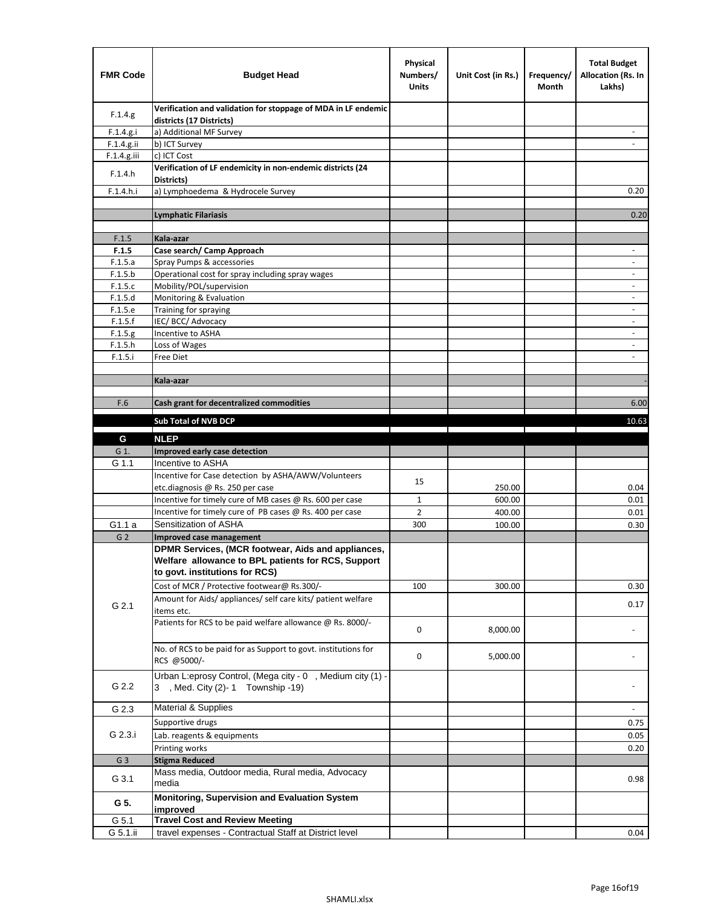| <b>FMR Code</b> | <b>Budget Head</b>                                                                                                                         | Physical<br>Numbers/<br><b>Units</b> | Unit Cost (in Rs.) | Frequency/<br>Month | <b>Total Budget</b><br><b>Allocation (Rs. In</b><br>Lakhs) |
|-----------------|--------------------------------------------------------------------------------------------------------------------------------------------|--------------------------------------|--------------------|---------------------|------------------------------------------------------------|
| F.1.4.g.        | Verification and validation for stoppage of MDA in LF endemic<br>districts (17 Districts)                                                  |                                      |                    |                     |                                                            |
| F.1.4.g.i       | a) Additional MF Survey                                                                                                                    |                                      |                    |                     |                                                            |
| F.1.4.g.ii      | b) ICT Survey                                                                                                                              |                                      |                    |                     |                                                            |
| F.1.4.g.iii     | c) ICT Cost                                                                                                                                |                                      |                    |                     |                                                            |
| F.1.4.h         | Verification of LF endemicity in non-endemic districts (24<br>Districts)                                                                   |                                      |                    |                     |                                                            |
| F.1.4.h.i       | a) Lymphoedema & Hydrocele Survey                                                                                                          |                                      |                    |                     | 0.20                                                       |
|                 | Lymphatic Filariasis                                                                                                                       |                                      |                    |                     | 0.20                                                       |
|                 |                                                                                                                                            |                                      |                    |                     |                                                            |
| F.1.5           | Kala-azar                                                                                                                                  |                                      |                    |                     |                                                            |
| F.1.5           | Case search/ Camp Approach                                                                                                                 |                                      |                    |                     | $\overline{\phantom{a}}$                                   |
| F.1.5.a         | Spray Pumps & accessories                                                                                                                  |                                      |                    |                     | $\blacksquare$                                             |
| F.1.5.b         | Operational cost for spray including spray wages                                                                                           |                                      |                    |                     |                                                            |
| F.1.5.c         | Mobility/POL/supervision                                                                                                                   |                                      |                    |                     | $\overline{\phantom{a}}$                                   |
| F.1.5.d         | Monitoring & Evaluation                                                                                                                    |                                      |                    |                     |                                                            |
| F.1.5.e         | Training for spraying                                                                                                                      |                                      |                    |                     | $\blacksquare$                                             |
| F.1.5.f         | IEC/BCC/Advocacy                                                                                                                           |                                      |                    |                     | $\overline{a}$                                             |
| F.1.5.g         | Incentive to ASHA                                                                                                                          |                                      |                    |                     | $\overline{\phantom{a}}$                                   |
| F.1.5.h         | Loss of Wages                                                                                                                              |                                      |                    |                     | $\qquad \qquad \blacksquare$                               |
| F.1.5.i         | Free Diet                                                                                                                                  |                                      |                    |                     |                                                            |
|                 | Kala-azar                                                                                                                                  |                                      |                    |                     |                                                            |
|                 |                                                                                                                                            |                                      |                    |                     |                                                            |
| F.6             | Cash grant for decentralized commodities                                                                                                   |                                      |                    |                     | 6.00                                                       |
|                 |                                                                                                                                            |                                      |                    |                     |                                                            |
|                 | <b>Sub Total of NVB DCP</b>                                                                                                                |                                      |                    |                     | 10.63                                                      |
| G               | <b>NLEP</b>                                                                                                                                |                                      |                    |                     |                                                            |
| G 1.            | Improved early case detection                                                                                                              |                                      |                    |                     |                                                            |
| G 1.1           | Incentive to ASHA                                                                                                                          |                                      |                    |                     |                                                            |
|                 | Incentive for Case detection by ASHA/AWW/Volunteers                                                                                        | 15                                   |                    |                     |                                                            |
|                 | etc.diagnosis @ Rs. 250 per case                                                                                                           |                                      | 250.00             |                     | 0.04                                                       |
|                 | Incentive for timely cure of MB cases @ Rs. 600 per case                                                                                   | $\mathbf{1}$                         | 600.00             |                     | 0.01                                                       |
|                 | Incentive for timely cure of PB cases @ Rs. 400 per case                                                                                   | $\overline{2}$                       | 400.00             |                     | 0.01                                                       |
| G1.1 a          | Sensitization of ASHA                                                                                                                      | 300                                  | 100.00             |                     | 0.30                                                       |
| G <sub>2</sub>  | <b>Improved case management</b>                                                                                                            |                                      |                    |                     |                                                            |
|                 | DPMR Services, (MCR footwear, Aids and appliances,<br>Welfare allowance to BPL patients for RCS, Support<br>to govt. institutions for RCS) |                                      |                    |                     |                                                            |
|                 | Cost of MCR / Protective footwear@ Rs.300/-                                                                                                | 100                                  | 300.00             |                     | 0.30                                                       |
| G 2.1           | Amount for Aids/ appliances/ self care kits/ patient welfare<br>items etc.                                                                 |                                      |                    |                     | 0.17                                                       |
|                 | Patients for RCS to be paid welfare allowance @ Rs. 8000/-                                                                                 | 0                                    | 8,000.00           |                     |                                                            |
|                 | No. of RCS to be paid for as Support to govt. institutions for<br>RCS @5000/-                                                              | 0                                    | 5,000.00           |                     |                                                            |
| G 2.2           | Urban L:eprosy Control, (Mega city - 0, Medium city (1) -<br>3 , Med. City (2)-1 Township -19)                                             |                                      |                    |                     |                                                            |
| G 2.3           | Material & Supplies                                                                                                                        |                                      |                    |                     | $\blacksquare$                                             |
|                 | Supportive drugs                                                                                                                           |                                      |                    |                     | 0.75                                                       |
| G 2.3.i         | Lab. reagents & equipments                                                                                                                 |                                      |                    |                     | 0.05                                                       |
|                 | Printing works                                                                                                                             |                                      |                    |                     | 0.20                                                       |
| G <sub>3</sub>  | <b>Stigma Reduced</b>                                                                                                                      |                                      |                    |                     |                                                            |
|                 | Mass media, Outdoor media, Rural media, Advocacy                                                                                           |                                      |                    |                     |                                                            |
| G 3.1           | media<br>Monitoring, Supervision and Evaluation System                                                                                     |                                      |                    |                     | 0.98                                                       |
| G 5.            | improved                                                                                                                                   |                                      |                    |                     |                                                            |
| G 5.1           | <b>Travel Cost and Review Meeting</b>                                                                                                      |                                      |                    |                     |                                                            |
| G 5.1.ii        | travel expenses - Contractual Staff at District level                                                                                      |                                      |                    |                     | 0.04                                                       |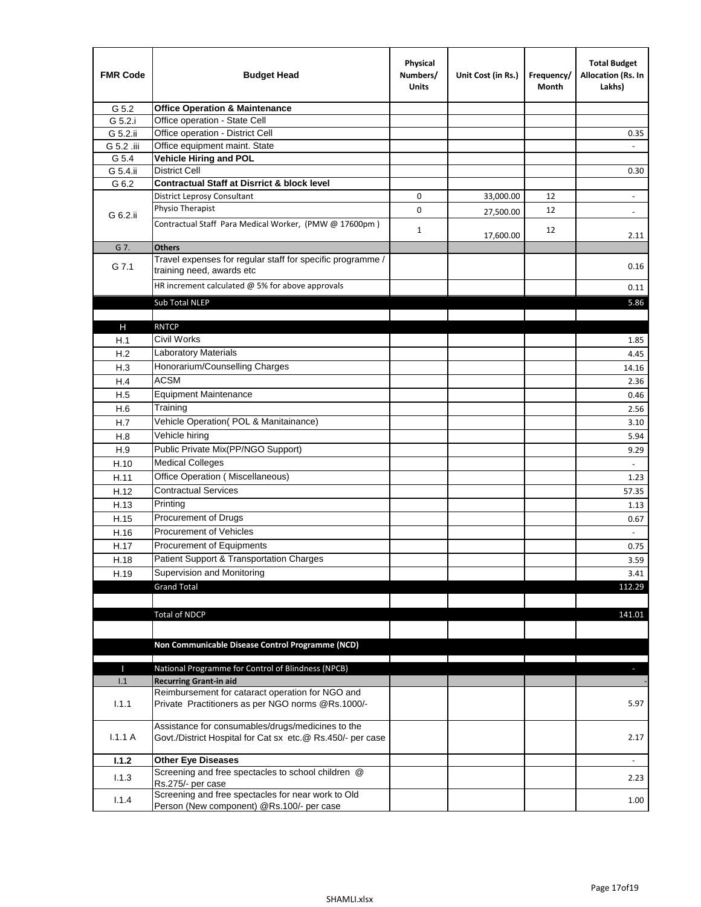| <b>FMR Code</b> | <b>Budget Head</b>                                                                                              | Physical<br>Numbers/<br><b>Units</b> | Unit Cost (in Rs.) | Frequency/<br>Month | <b>Total Budget</b><br>Allocation (Rs. In<br>Lakhs) |
|-----------------|-----------------------------------------------------------------------------------------------------------------|--------------------------------------|--------------------|---------------------|-----------------------------------------------------|
| G 5.2           | <b>Office Operation &amp; Maintenance</b>                                                                       |                                      |                    |                     |                                                     |
| G 5.2.i         | Office operation - State Cell                                                                                   |                                      |                    |                     |                                                     |
| G 5.2.ii        | Office operation - District Cell                                                                                |                                      |                    |                     | 0.35                                                |
| G 5.2 .iii      | Office equipment maint. State                                                                                   |                                      |                    |                     |                                                     |
| G 5.4           | <b>Vehicle Hiring and POL</b>                                                                                   |                                      |                    |                     |                                                     |
| G 5.4.ii        | <b>District Cell</b>                                                                                            |                                      |                    |                     | 0.30                                                |
| G 6.2           | <b>Contractual Staff at Disrrict &amp; block level</b>                                                          |                                      |                    |                     |                                                     |
|                 | <b>District Leprosy Consultant</b>                                                                              | 0                                    | 33,000.00          | 12                  |                                                     |
| G 6.2.ii        | Physio Therapist                                                                                                | 0                                    | 27,500.00          | 12                  | $\overline{\phantom{a}}$                            |
|                 | Contractual Staff Para Medical Worker, (PMW @ 17600pm)                                                          | $\mathbf{1}$                         | 17,600.00          | 12                  | 2.11                                                |
| G 7.            | <b>Others</b>                                                                                                   |                                      |                    |                     |                                                     |
| G 7.1           | Travel expenses for regular staff for specific programme /<br>training need, awards etc                         |                                      |                    |                     | 0.16                                                |
|                 | HR increment calculated $@$ 5% for above approvals                                                              |                                      |                    |                     | 0.11                                                |
|                 | Sub Total NLEP                                                                                                  |                                      |                    |                     | 5.86                                                |
|                 |                                                                                                                 |                                      |                    |                     |                                                     |
| Н               | <b>RNTCP</b>                                                                                                    |                                      |                    |                     |                                                     |
| H.1             | Civil Works                                                                                                     |                                      |                    |                     | 1.85                                                |
| H.2             | Laboratory Materials                                                                                            |                                      |                    |                     | 4.45                                                |
| H.3             | Honorarium/Counselling Charges                                                                                  |                                      |                    |                     | 14.16                                               |
| H.4             | <b>ACSM</b>                                                                                                     |                                      |                    |                     | 2.36                                                |
| H.5             | <b>Equipment Maintenance</b>                                                                                    |                                      |                    |                     | 0.46                                                |
| H.6             | Training                                                                                                        |                                      |                    |                     | 2.56                                                |
| H.7             | Vehicle Operation(POL & Manitainance)                                                                           |                                      |                    |                     | 3.10                                                |
| H.8             | Vehicle hiring                                                                                                  |                                      |                    |                     | 5.94                                                |
| H.9             | Public Private Mix(PP/NGO Support)                                                                              |                                      |                    |                     | 9.29                                                |
| H.10            | <b>Medical Colleges</b>                                                                                         |                                      |                    |                     | $\blacksquare$                                      |
| H.11            | Office Operation (Miscellaneous)                                                                                |                                      |                    |                     | 1.23                                                |
| H.12            | <b>Contractual Services</b>                                                                                     |                                      |                    |                     | 57.35                                               |
| H.13            | Printing                                                                                                        |                                      |                    |                     | 1.13                                                |
| H.15            | Procurement of Drugs                                                                                            |                                      |                    |                     | 0.67                                                |
|                 | Procurement of Vehicles                                                                                         |                                      |                    |                     | $\sim$                                              |
| H.16            | Procurement of Equipments                                                                                       |                                      |                    |                     |                                                     |
| H.17            |                                                                                                                 |                                      |                    |                     | 0.75                                                |
| H.18            | Patient Support & Transportation Charges                                                                        |                                      |                    |                     | 3.59                                                |
| H.19            | Supervision and Monitoring                                                                                      |                                      |                    |                     | 3.41                                                |
|                 | <b>Grand Total</b>                                                                                              |                                      |                    |                     | 112.29                                              |
|                 |                                                                                                                 |                                      |                    |                     |                                                     |
|                 | <b>Total of NDCP</b>                                                                                            |                                      |                    |                     | 141.01                                              |
|                 |                                                                                                                 |                                      |                    |                     |                                                     |
|                 | Non Communicable Disease Control Programme (NCD)                                                                |                                      |                    |                     |                                                     |
| Т               | National Programme for Control of Blindness (NPCB)                                                              |                                      |                    |                     | $\sim$                                              |
| 1.1             | <b>Recurring Grant-in aid</b>                                                                                   |                                      |                    |                     |                                                     |
|                 | Reimbursement for cataract operation for NGO and                                                                |                                      |                    |                     |                                                     |
| 1.1.1           | Private Practitioners as per NGO norms @Rs.1000/-                                                               |                                      |                    |                     | 5.97                                                |
| 1.1.1A          | Assistance for consumables/drugs/medicines to the<br>Govt./District Hospital for Cat sx etc.@ Rs.450/- per case |                                      |                    |                     | 2.17                                                |
| 1.1.2           | <b>Other Eye Diseases</b>                                                                                       |                                      |                    |                     |                                                     |
|                 | Screening and free spectacles to school children @                                                              |                                      |                    |                     |                                                     |
| 1.1.3           | Rs.275/- per case                                                                                               |                                      |                    |                     | 2.23                                                |
| 1.1.4           | Screening and free spectacles for near work to Old                                                              |                                      |                    |                     | 1.00                                                |
|                 | Person (New component) @Rs.100/- per case                                                                       |                                      |                    |                     |                                                     |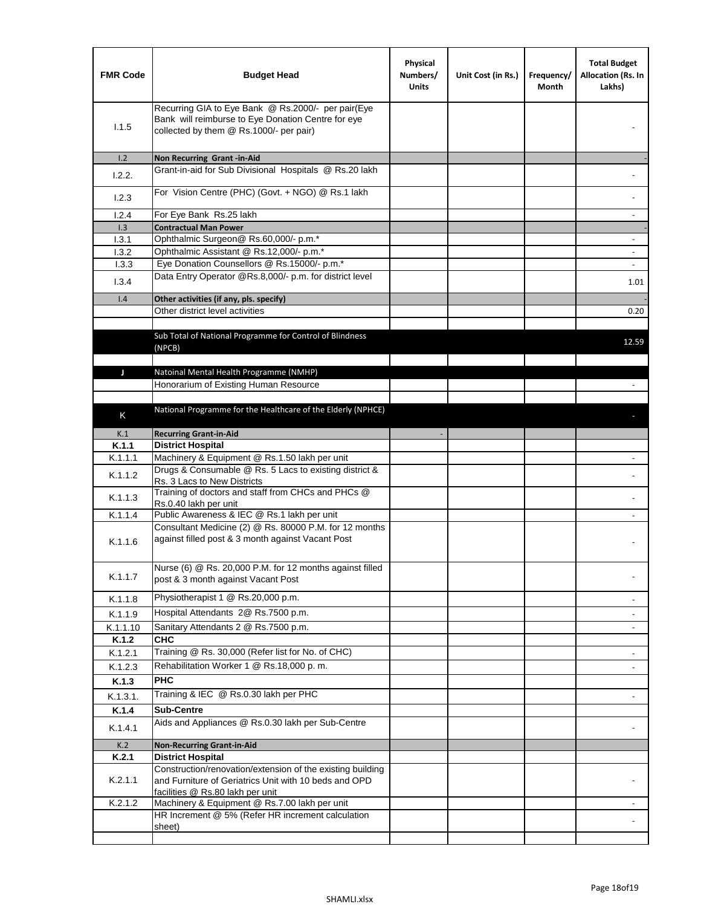| <b>FMR Code</b>  | <b>Budget Head</b>                                                                                                                                  | Physical<br>Numbers/<br><b>Units</b> | Unit Cost (in Rs.) | Frequency/<br>Month | <b>Total Budget</b><br>Allocation (Rs. In<br>Lakhs) |
|------------------|-----------------------------------------------------------------------------------------------------------------------------------------------------|--------------------------------------|--------------------|---------------------|-----------------------------------------------------|
| 1.1.5            | Recurring GIA to Eye Bank @ Rs.2000/- per pair(Eye<br>Bank will reimburse to Eye Donation Centre for eye<br>collected by them @ Rs.1000/- per pair) |                                      |                    |                     |                                                     |
| 1.2              | Non Recurring Grant -in-Aid                                                                                                                         |                                      |                    |                     |                                                     |
| 1.2.2.           | Grant-in-aid for Sub Divisional Hospitals @ Rs.20 lakh                                                                                              |                                      |                    |                     |                                                     |
| 1.2.3            | For Vision Centre (PHC) (Govt. + NGO) @ Rs.1 lakh                                                                                                   |                                      |                    |                     |                                                     |
| 1.2.4            | For Eye Bank Rs.25 lakh                                                                                                                             |                                      |                    |                     | $\overline{\phantom{0}}$                            |
| 1.3              | <b>Contractual Man Power</b>                                                                                                                        |                                      |                    |                     |                                                     |
| 1.3.1            | Ophthalmic Surgeon@ Rs.60,000/- p.m.*                                                                                                               |                                      |                    |                     | $\overline{\phantom{a}}$                            |
| 1.3.2            | Ophthalmic Assistant @ Rs.12,000/- p.m.*                                                                                                            |                                      |                    |                     |                                                     |
| 1.3.3            | Eye Donation Counsellors @ Rs.15000/- p.m.*<br>Data Entry Operator @Rs.8,000/- p.m. for district level                                              |                                      |                    |                     | $\sim$                                              |
| 1.3.4            |                                                                                                                                                     |                                      |                    |                     | 1.01                                                |
| 1.4              | Other activities (if any, pls. specify)<br>Other district level activities                                                                          |                                      |                    |                     |                                                     |
|                  |                                                                                                                                                     |                                      |                    |                     | 0.20                                                |
|                  | Sub Total of National Programme for Control of Blindness<br>(NPCB)                                                                                  |                                      |                    |                     | 12.59                                               |
| J                | Natoinal Mental Health Programme (NMHP)                                                                                                             |                                      |                    |                     |                                                     |
|                  | Honorarium of Existing Human Resource                                                                                                               |                                      |                    |                     |                                                     |
|                  |                                                                                                                                                     |                                      |                    |                     |                                                     |
|                  | National Programme for the Healthcare of the Elderly (NPHCE)                                                                                        |                                      |                    |                     |                                                     |
| Κ                |                                                                                                                                                     |                                      |                    |                     |                                                     |
| K.1              | <b>Recurring Grant-in-Aid</b>                                                                                                                       |                                      |                    |                     |                                                     |
| K.1.1            | <b>District Hospital</b>                                                                                                                            |                                      |                    |                     |                                                     |
| K.1.1.1          | Machinery & Equipment @ Rs.1.50 lakh per unit                                                                                                       |                                      |                    |                     |                                                     |
| K.1.1.2          | Drugs & Consumable @ Rs. 5 Lacs to existing district &<br>Rs. 3 Lacs to New Districts                                                               |                                      |                    |                     |                                                     |
| K.1.1.3          | Training of doctors and staff from CHCs and PHCs @<br>Rs.0.40 lakh per unit                                                                         |                                      |                    |                     |                                                     |
| K.1.1.4          | Public Awareness & IEC @ Rs.1 lakh per unit                                                                                                         |                                      |                    |                     |                                                     |
| K.1.1.6          | Consultant Medicine (2) @ Rs. 80000 P.M. for 12 months<br>against filled post & 3 month against Vacant Post                                         |                                      |                    |                     |                                                     |
| K.1.1.7          | Nurse (6) @ Rs. 20,000 P.M. for 12 months against filled<br>post & 3 month against Vacant Post                                                      |                                      |                    |                     |                                                     |
| K.1.1.8          | Physiotherapist 1 @ Rs.20,000 p.m.                                                                                                                  |                                      |                    |                     | ۰                                                   |
| K.1.1.9          | Hospital Attendants 2@ Rs.7500 p.m.                                                                                                                 |                                      |                    |                     |                                                     |
| K.1.1.10         | Sanitary Attendants 2 @ Rs.7500 p.m.                                                                                                                |                                      |                    |                     | $\overline{\phantom{a}}$                            |
| K.1.2            | <b>CHC</b>                                                                                                                                          |                                      |                    |                     |                                                     |
| K.1.2.1          | Training @ Rs. 30,000 (Refer list for No. of CHC)                                                                                                   |                                      |                    |                     | $\overline{\phantom{a}}$                            |
| K.1.2.3          | Rehabilitation Worker 1 @ Rs.18,000 p.m.                                                                                                            |                                      |                    |                     |                                                     |
| K.1.3            | <b>PHC</b>                                                                                                                                          |                                      |                    |                     |                                                     |
| K.1.3.1.         | Training & IEC @ Rs.0.30 lakh per PHC                                                                                                               |                                      |                    |                     |                                                     |
| K.1.4            | <b>Sub-Centre</b>                                                                                                                                   |                                      |                    |                     |                                                     |
|                  | Aids and Appliances @ Rs.0.30 lakh per Sub-Centre                                                                                                   |                                      |                    |                     |                                                     |
| K.1.4.1          |                                                                                                                                                     |                                      |                    |                     |                                                     |
| K.2              | <b>Non-Recurring Grant-in-Aid</b>                                                                                                                   |                                      |                    |                     |                                                     |
| K.2.1<br>K.2.1.1 | <b>District Hospital</b><br>Construction/renovation/extension of the existing building<br>and Furniture of Geriatrics Unit with 10 beds and OPD     |                                      |                    |                     |                                                     |
| K.2.1.2          | facilities @ Rs.80 lakh per unit<br>Machinery & Equipment @ Rs.7.00 lakh per unit                                                                   |                                      |                    |                     |                                                     |
|                  | HR Increment @ 5% (Refer HR increment calculation                                                                                                   |                                      |                    |                     |                                                     |
|                  | sheet)                                                                                                                                              |                                      |                    |                     |                                                     |
|                  |                                                                                                                                                     |                                      |                    |                     |                                                     |